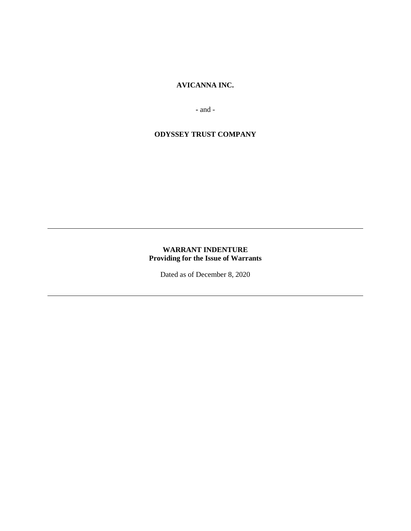# **AVICANNA INC.**

**-** and -

# **ODYSSEY TRUST COMPANY**

# **WARRANT INDENTURE Providing for the Issue of Warrants**

Dated as of December 8, 2020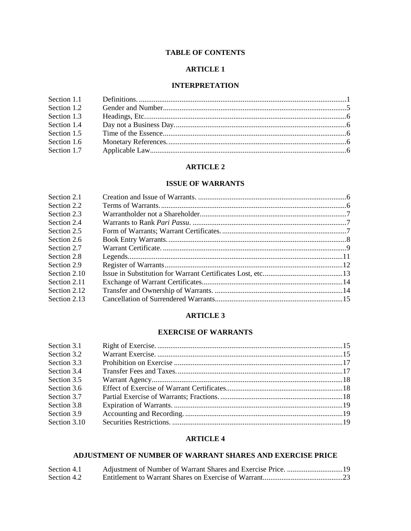# **TABLE OF CONTENTS**

# **ARTICLE 1**

# **INTERPRETATION**

| Section 1.2 |  |
|-------------|--|
| Section 1.3 |  |
| Section 1.4 |  |
| Section 1.5 |  |
| Section 1.6 |  |
| Section 1.7 |  |
|             |  |

# **ARTICLE 2**

# **ISSUE OF WARRANTS**

| Section 2.1  |  |
|--------------|--|
| Section 2.2  |  |
| Section 2.3  |  |
| Section 2.4  |  |
| Section 2.5  |  |
| Section 2.6  |  |
| Section 2.7  |  |
| Section 2.8  |  |
| Section 2.9  |  |
| Section 2.10 |  |
| Section 2.11 |  |
| Section 2.12 |  |
| Section 2.13 |  |
|              |  |

### **ARTICLE 3**

# **EXERCISE OF WARRANTS**

| Section 3.1  |  |
|--------------|--|
| Section 3.2  |  |
| Section 3.3  |  |
| Section 3.4  |  |
| Section 3.5  |  |
| Section 3.6  |  |
| Section 3.7  |  |
| Section 3.8  |  |
| Section 3.9  |  |
| Section 3.10 |  |
|              |  |

# **ARTICLE 4**

# **ADJUSTMENT OF NUMBER OF WARRANT SHARES AND EXERCISE PRICE**

| Section 4.1 |  |
|-------------|--|
| Section 4.2 |  |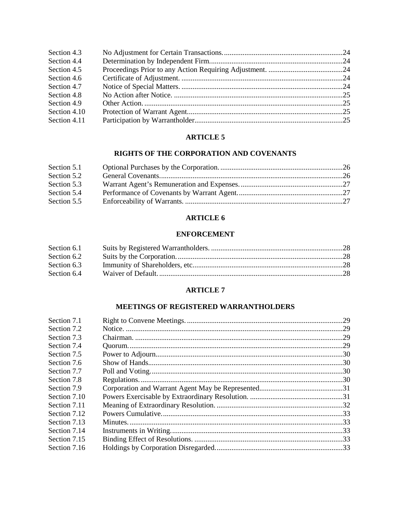| Section 4.3  |  |
|--------------|--|
| Section 4.4  |  |
| Section 4.5  |  |
| Section 4.6  |  |
| Section 4.7  |  |
| Section 4.8  |  |
| Section 4.9  |  |
| Section 4.10 |  |
| Section 4.11 |  |

# **ARTICLE 5**

# **RIGHTS OF THE CORPORATION AND COVENANTS**

| Section 5.1 |  |
|-------------|--|
| Section 5.2 |  |
| Section 5.3 |  |
| Section 5.4 |  |
| Section 5.5 |  |

# **ARTICLE 6**

# **ENFORCEMENT**

| Section 6.1 |  |
|-------------|--|
| Section 6.2 |  |
| Section 6.3 |  |
| Section 6.4 |  |

# **ARTICLE 7**

# **MEETINGS OF REGISTERED WARRANTHOLDERS**

| Section 7.1  |  |
|--------------|--|
| Section 7.2  |  |
| Section 7.3  |  |
| Section 7.4  |  |
| Section 7.5  |  |
| Section 7.6  |  |
| Section 7.7  |  |
| Section 7.8  |  |
| Section 7.9  |  |
| Section 7.10 |  |
| Section 7.11 |  |
| Section 7.12 |  |
| Section 7.13 |  |
| Section 7.14 |  |
| Section 7.15 |  |
| Section 7.16 |  |
|              |  |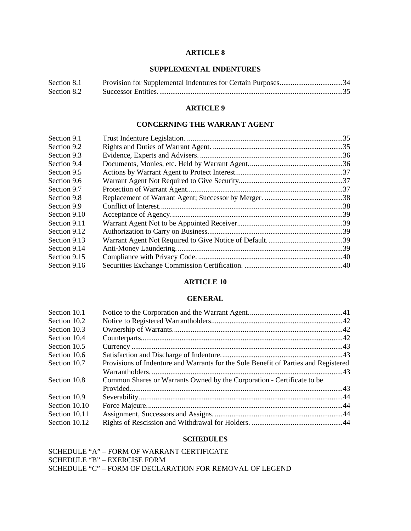# **ARTICLE 8**

# **SUPPLEMENTAL INDENTURES**

| Section 8.1 | Provision for Supplemental Indentures for Certain Purposes34 |  |
|-------------|--------------------------------------------------------------|--|
| Section 8.2 |                                                              |  |

#### **ARTICLE 9**

### **CONCERNING THE WARRANT AGENT**

| Section 9.1  |  |
|--------------|--|
| Section 9.2  |  |
| Section 9.3  |  |
| Section 9.4  |  |
| Section 9.5  |  |
| Section 9.6  |  |
| Section 9.7  |  |
| Section 9.8  |  |
| Section 9.9  |  |
| Section 9.10 |  |
| Section 9.11 |  |
| Section 9.12 |  |
| Section 9.13 |  |
| Section 9.14 |  |
| Section 9.15 |  |
| Section 9.16 |  |
|              |  |

# **ARTICLE 10**

# **GENERAL**

| Section 10.1  |                                                                                     |  |
|---------------|-------------------------------------------------------------------------------------|--|
| Section 10.2  |                                                                                     |  |
| Section 10.3  |                                                                                     |  |
| Section 10.4  |                                                                                     |  |
| Section 10.5  |                                                                                     |  |
| Section 10.6  |                                                                                     |  |
| Section 10.7  | Provisions of Indenture and Warrants for the Sole Benefit of Parties and Registered |  |
|               |                                                                                     |  |
| Section 10.8  | Common Shares or Warrants Owned by the Corporation - Certificate to be              |  |
|               |                                                                                     |  |
| Section 10.9  |                                                                                     |  |
| Section 10.10 |                                                                                     |  |
| Section 10.11 |                                                                                     |  |
| Section 10.12 |                                                                                     |  |

# **SCHEDULES**

SCHEDULE "A" – FORM OF WARRANT CERTIFICATE SCHEDULE "B" – EXERCISE FORM SCHEDULE "C" – FORM OF DECLARATION FOR REMOVAL OF LEGEND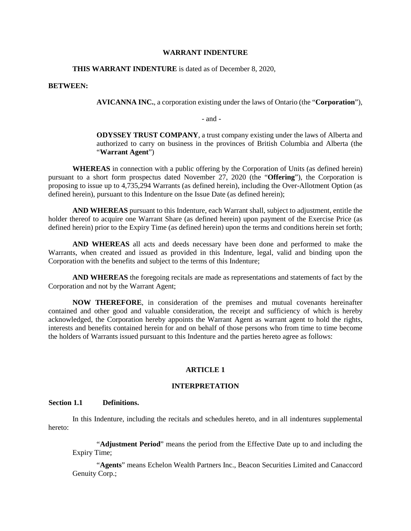#### **WARRANT INDENTURE**

#### **THIS WARRANT INDENTURE** is dated as of December 8, 2020,

#### **BETWEEN:**

**AVICANNA INC.**, a corporation existing under the laws of Ontario (the "**Corporation**"),

- and -

**ODYSSEY TRUST COMPANY**, a trust company existing under the laws of Alberta and authorized to carry on business in the provinces of British Columbia and Alberta (the "**Warrant Agent**")

**WHEREAS** in connection with a public offering by the Corporation of Units (as defined herein) pursuant to a short form prospectus dated November 27, 2020 (the "**Offering**"), the Corporation is proposing to issue up to 4,735,294 Warrants (as defined herein), including the Over-Allotment Option (as defined herein), pursuant to this Indenture on the Issue Date (as defined herein);

**AND WHEREAS** pursuant to this Indenture, each Warrant shall, subject to adjustment, entitle the holder thereof to acquire one Warrant Share (as defined herein) upon payment of the Exercise Price (as defined herein) prior to the Expiry Time (as defined herein) upon the terms and conditions herein set forth;

**AND WHEREAS** all acts and deeds necessary have been done and performed to make the Warrants, when created and issued as provided in this Indenture, legal, valid and binding upon the Corporation with the benefits and subject to the terms of this Indenture;

**AND WHEREAS** the foregoing recitals are made as representations and statements of fact by the Corporation and not by the Warrant Agent;

**NOW THEREFORE**, in consideration of the premises and mutual covenants hereinafter contained and other good and valuable consideration, the receipt and sufficiency of which is hereby acknowledged, the Corporation hereby appoints the Warrant Agent as warrant agent to hold the rights, interests and benefits contained herein for and on behalf of those persons who from time to time become the holders of Warrants issued pursuant to this Indenture and the parties hereto agree as follows:

#### **ARTICLE 1**

#### **INTERPRETATION**

## **Section 1.1 Definitions.**

In this Indenture, including the recitals and schedules hereto, and in all indentures supplemental hereto:

"**Adjustment Period**" means the period from the Effective Date up to and including the Expiry Time;

"**Agents**" means Echelon Wealth Partners Inc., Beacon Securities Limited and Canaccord Genuity Corp.;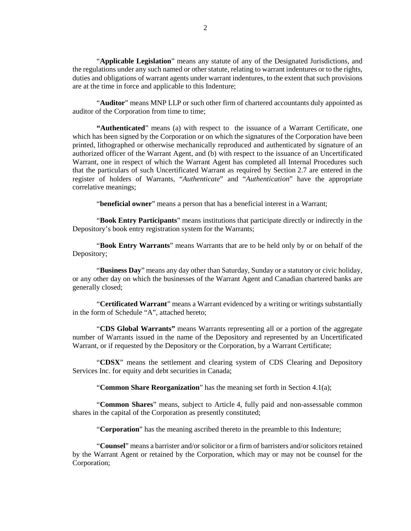"**Applicable Legislation**" means any statute of any of the Designated Jurisdictions, and the regulations under any such named or other statute, relating to warrant indentures or to the rights, duties and obligations of warrant agents under warrant indentures, to the extent that such provisions are at the time in force and applicable to this Indenture;

"**Auditor**" means MNP LLP or such other firm of chartered accountants duly appointed as auditor of the Corporation from time to time;

**"Authenticated**" means (a) with respect to the issuance of a Warrant Certificate, one which has been signed by the Corporation or on which the signatures of the Corporation have been printed, lithographed or otherwise mechanically reproduced and authenticated by signature of an authorized officer of the Warrant Agent, and (b) with respect to the issuance of an Uncertificated Warrant, one in respect of which the Warrant Agent has completed all Internal Procedures such that the particulars of such Uncertificated Warrant as required by [Section 2.7](#page-12-0) are entered in the register of holders of Warrants, "*Authenticate*" and "*Authentication*" have the appropriate correlative meanings;

"**beneficial owner**" means a person that has a beneficial interest in a Warrant;

"**Book Entry Participants**" means institutions that participate directly or indirectly in the Depository's book entry registration system for the Warrants;

"**Book Entry Warrants**" means Warrants that are to be held only by or on behalf of the Depository;

"**Business Day**" means any day other than Saturday, Sunday or a statutory or civic holiday, or any other day on which the businesses of the Warrant Agent and Canadian chartered banks are generally closed;

"**Certificated Warrant**" means a Warrant evidenced by a writing or writings substantially in the form of Schedule "A", attached hereto;

"**CDS Global Warrants"** means Warrants representing all or a portion of the aggregate number of Warrants issued in the name of the Depository and represented by an Uncertificated Warrant, or if requested by the Depository or the Corporation, by a Warrant Certificate;

"**CDSX**" means the settlement and clearing system of CDS Clearing and Depository Services Inc. for equity and debt securities in Canada;

"**Common Share Reorganization**" has the meaning set forth in [Section 4.1\(a\);](#page-22-0)

"**Common Shares**" means, subject to [Article 4,](#page-22-1) fully paid and non-assessable common shares in the capital of the Corporation as presently constituted;

"**Corporation**" has the meaning ascribed thereto in the preamble to this Indenture;

"**Counsel**" means a barrister and/or solicitor or a firm of barristers and/or solicitors retained by the Warrant Agent or retained by the Corporation, which may or may not be counsel for the Corporation;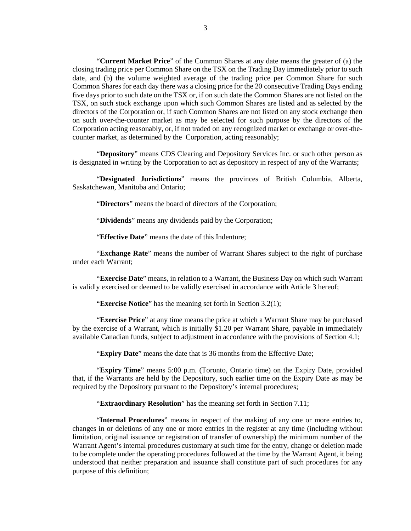"**Current Market Price**" of the Common Shares at any date means the greater of (a) the closing trading price per Common Share on the TSX on the Trading Day immediately prior to such date, and (b) the volume weighted average of the trading price per Common Share for such Common Shares for each day there was a closing price for the 20 consecutive Trading Days ending five days prior to such date on the TSX or, if on such date the Common Shares are not listed on the TSX, on such stock exchange upon which such Common Shares are listed and as selected by the directors of the Corporation or, if such Common Shares are not listed on any stock exchange then on such over-the-counter market as may be selected for such purpose by the directors of the Corporation acting reasonably, or, if not traded on any recognized market or exchange or over-thecounter market, as determined by the Corporation, acting reasonably;

"**Depository**" means CDS Clearing and Depository Services Inc. or such other person as is designated in writing by the Corporation to act as depository in respect of any of the Warrants;

"**Designated Jurisdictions**" means the provinces of British Columbia, Alberta, Saskatchewan, Manitoba and Ontario;

"**Directors**" means the board of directors of the Corporation;

"**Dividends**" means any dividends paid by the Corporation;

"**Effective Date**" means the date of this Indenture;

"**Exchange Rate**" means the number of Warrant Shares subject to the right of purchase under each Warrant;

"**Exercise Date**" means, in relation to a Warrant, the Business Day on which such Warrant is validly exercised or deemed to be validly exercised in accordance with [Article 3](#page-18-0) hereof;

"**Exercise Notice**" has the meaning set forth i[n Section 3.2\(1\);](#page-18-1)

"**Exercise Price**" at any time means the price at which a Warrant Share may be purchased by the exercise of a Warrant, which is initially \$1.20 per Warrant Share, payable in immediately available Canadian funds, subject to adjustment in accordance with the provisions of [Section 4.1;](#page-22-2)

"**Expiry Date**" means the date that is 36 months from the Effective Date;

"**Expiry Time**" means 5:00 p.m. (Toronto, Ontario time) on the Expiry Date, provided that, if the Warrants are held by the Depository, such earlier time on the Expiry Date as may be required by the Depository pursuant to the Depository's internal procedures;

"**Extraordinary Resolution**" has the meaning set forth in [Section 7.11;](#page-35-0)

"**Internal Procedures**" means in respect of the making of any one or more entries to, changes in or deletions of any one or more entries in the register at any time (including without limitation, original issuance or registration of transfer of ownership) the minimum number of the Warrant Agent's internal procedures customary at such time for the entry, change or deletion made to be complete under the operating procedures followed at the time by the Warrant Agent, it being understood that neither preparation and issuance shall constitute part of such procedures for any purpose of this definition;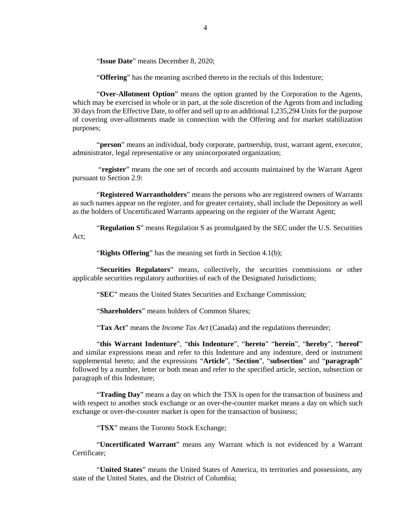"**Issue Date**" means December 8, 2020;

"**Offering**" has the meaning ascribed thereto in the recitals of this Indenture;

"**Over-Allotment Option**" means the option granted by the Corporation to the Agents, which may be exercised in whole or in part, at the sole discretion of the Agents from and including 30 days from the Effective Date, to offer and sell up to an additional 1,235,294 Units for the purpose of covering over-allotments made in connection with the Offering and for market stabilization purposes;

"**person**" means an individual, body corporate, partnership, trust, warrant agent, executor, administrator, legal representative or any unincorporated organization;

 "**register**" means the one set of records and accounts maintained by the Warrant Agent pursuant to [Section 2.9:](#page-15-0)

"**Registered Warrantholders**" means the persons who are registered owners of Warrants as such names appear on the register, and for greater certainty, shall include the Depository as well as the holders of Uncertificated Warrants appearing on the register of the Warrant Agent;

"**Regulation S**" means Regulation S as promulgated by the SEC under the U.S. Securities Act;

"**Rights Offering**" has the meaning set forth in [Section 4.1\(b\);](#page-23-0)

"**Securities Regulators**" means, collectively, the securities commissions or other applicable securities regulatory authorities of each of the Designated Jurisdictions;

"**SEC**" means the United States Securities and Exchange Commission;

"**Shareholders**" means holders of Common Shares;

"**Tax Act**" means the *Income Tax Act* (Canada) and the regulations thereunder;

"**this Warrant Indenture**", "**this Indenture**", "**hereto**" "**herein**", "**hereby**", "**hereof**" and similar expressions mean and refer to this Indenture and any indenture, deed or instrument supplemental hereto; and the expressions "**Article**", "**Section**", "**subsection**" and "**paragraph**" followed by a number, letter or both mean and refer to the specified article, section, subsection or paragraph of this Indenture;

"**Trading Day**" means a day on which the TSX is open for the transaction of business and with respect to another stock exchange or an over-the-counter market means a day on which such exchange or over-the-counter market is open for the transaction of business;

"**TSX**" means the Toronto Stock Exchange;

"**Uncertificated Warrant**" means any Warrant which is not evidenced by a Warrant Certificate;

"**United States**" means the United States of America, its territories and possessions, any state of the United States, and the District of Columbia;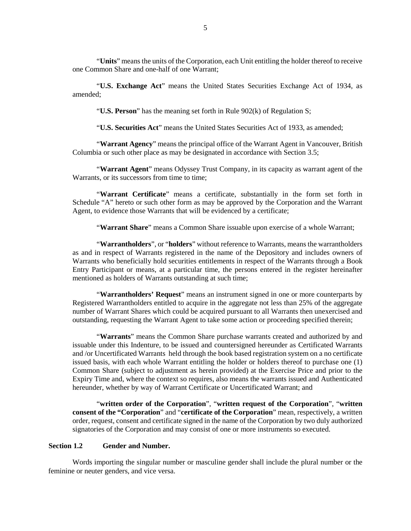"**Units**" means the units of the Corporation, each Unit entitling the holder thereof to receive one Common Share and one-half of one Warrant;

"**U.S. Exchange Act**" means the United States Securities Exchange Act of 1934, as amended;

"**U.S. Person**" has the meaning set forth in Rule 902(k) of Regulation S;

"**U.S. Securities Act**" means the United States Securities Act of 1933, as amended;

"**Warrant Agency**" means the principal office of the Warrant Agent in Vancouver, British Columbia or such other place as may be designated in accordance with [Section 3.5;](#page-21-0)

"**Warrant Agent**" means Odyssey Trust Company, in its capacity as warrant agent of the Warrants, or its successors from time to time;

"**Warrant Certificate**" means a certificate, substantially in the form set forth in Schedule "A" hereto or such other form as may be approved by the Corporation and the Warrant Agent, to evidence those Warrants that will be evidenced by a certificate;

"**Warrant Share**" means a Common Share issuable upon exercise of a whole Warrant;

"**Warrantholders**", or "**holders**" without reference to Warrants, means the warrantholders as and in respect of Warrants registered in the name of the Depository and includes owners of Warrants who beneficially hold securities entitlements in respect of the Warrants through a Book Entry Participant or means, at a particular time, the persons entered in the register hereinafter mentioned as holders of Warrants outstanding at such time;

"**Warrantholders' Request**" means an instrument signed in one or more counterparts by Registered Warrantholders entitled to acquire in the aggregate not less than 25% of the aggregate number of Warrant Shares which could be acquired pursuant to all Warrants then unexercised and outstanding, requesting the Warrant Agent to take some action or proceeding specified therein;

"**Warrants**" means the Common Share purchase warrants created and authorized by and issuable under this Indenture, to be issued and countersigned hereunder as Certificated Warrants and /or Uncertificated Warrants held through the book based registration system on a no certificate issued basis, with each whole Warrant entitling the holder or holders thereof to purchase one (1) Common Share (subject to adjustment as herein provided) at the Exercise Price and prior to the Expiry Time and, where the context so requires, also means the warrants issued and Authenticated hereunder, whether by way of Warrant Certificate or Uncertificated Warrant; and

"**written order of the Corporation**", "**written request of the Corporation**", "**written consent of the "Corporation**" and "**certificate of the Corporation**" mean, respectively, a written order, request, consent and certificate signed in the name of the Corporation by two duly authorized signatories of the Corporation and may consist of one or more instruments so executed.

### **Section 1.2 Gender and Number.**

Words importing the singular number or masculine gender shall include the plural number or the feminine or neuter genders, and vice versa.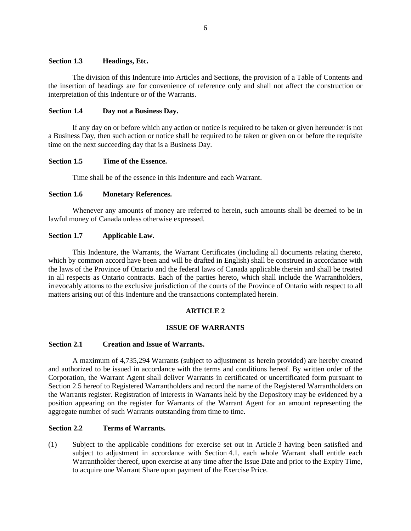# **Section 1.3 Headings, Etc.**

The division of this Indenture into Articles and Sections, the provision of a Table of Contents and the insertion of headings are for convenience of reference only and shall not affect the construction or interpretation of this Indenture or of the Warrants.

# **Section 1.4 Day not a Business Day.**

If any day on or before which any action or notice is required to be taken or given hereunder is not a Business Day, then such action or notice shall be required to be taken or given on or before the requisite time on the next succeeding day that is a Business Day.

# **Section 1.5 Time of the Essence.**

Time shall be of the essence in this Indenture and each Warrant.

# **Section 1.6 Monetary References.**

Whenever any amounts of money are referred to herein, such amounts shall be deemed to be in lawful money of Canada unless otherwise expressed.

# **Section 1.7 Applicable Law.**

This Indenture, the Warrants, the Warrant Certificates (including all documents relating thereto, which by common accord have been and will be drafted in English) shall be construed in accordance with the laws of the Province of Ontario and the federal laws of Canada applicable therein and shall be treated in all respects as Ontario contracts. Each of the parties hereto, which shall include the Warrantholders, irrevocably attorns to the exclusive jurisdiction of the courts of the Province of Ontario with respect to all matters arising out of this Indenture and the transactions contemplated herein.

# **ARTICLE 2**

# **ISSUE OF WARRANTS**

# <span id="page-9-0"></span>**Section 2.1 Creation and Issue of Warrants.**

A maximum of 4,735,294 Warrants (subject to adjustment as herein provided) are hereby created and authorized to be issued in accordance with the terms and conditions hereof. By written order of the Corporation, the Warrant Agent shall deliver Warrants in certificated or uncertificated form pursuant to [Section 2.5](#page-10-0) hereof to Registered Warrantholders and record the name of the Registered Warrantholders on the Warrants register. Registration of interests in Warrants held by the Depository may be evidenced by a position appearing on the register for Warrants of the Warrant Agent for an amount representing the aggregate number of such Warrants outstanding from time to time.

# **Section 2.2 Terms of Warrants.**

(1) Subject to the applicable conditions for exercise set out in [Article 3](#page-18-0) having been satisfied and subject to adjustment in accordance with [Section 4.1,](#page-22-2) each whole Warrant shall entitle each Warrantholder thereof, upon exercise at any time after the Issue Date and prior to the Expiry Time, to acquire one Warrant Share upon payment of the Exercise Price.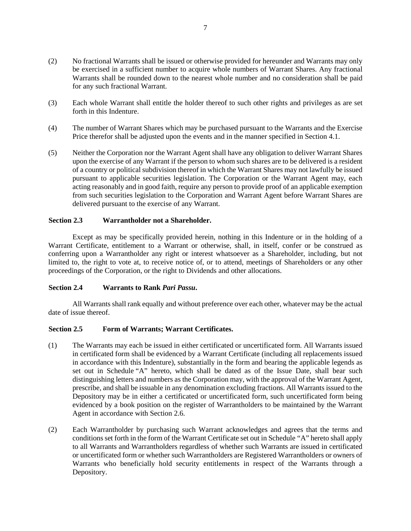- (2) No fractional Warrants shall be issued or otherwise provided for hereunder and Warrants may only be exercised in a sufficient number to acquire whole numbers of Warrant Shares. Any fractional Warrants shall be rounded down to the nearest whole number and no consideration shall be paid for any such fractional Warrant.
- (3) Each whole Warrant shall entitle the holder thereof to such other rights and privileges as are set forth in this Indenture.
- (4) The number of Warrant Shares which may be purchased pursuant to the Warrants and the Exercise Price therefor shall be adjusted upon the events and in the manner specified in [Section 4.1.](#page-22-2)
- (5) Neither the Corporation nor the Warrant Agent shall have any obligation to deliver Warrant Shares upon the exercise of any Warrant if the person to whom such shares are to be delivered is a resident of a country or political subdivision thereof in which the Warrant Shares may not lawfully be issued pursuant to applicable securities legislation. The Corporation or the Warrant Agent may, each acting reasonably and in good faith, require any person to provide proof of an applicable exemption from such securities legislation to the Corporation and Warrant Agent before Warrant Shares are delivered pursuant to the exercise of any Warrant.

## **Section 2.3 Warrantholder not a Shareholder.**

Except as may be specifically provided herein, nothing in this Indenture or in the holding of a Warrant Certificate, entitlement to a Warrant or otherwise, shall, in itself, confer or be construed as conferring upon a Warrantholder any right or interest whatsoever as a Shareholder, including, but not limited to, the right to vote at, to receive notice of, or to attend, meetings of Shareholders or any other proceedings of the Corporation, or the right to Dividends and other allocations.

#### **Section 2.4 Warrants to Rank** *Pari Passu***.**

All Warrants shall rank equally and without preference over each other, whatever may be the actual date of issue thereof.

#### <span id="page-10-0"></span>**Section 2.5 Form of Warrants; Warrant Certificates.**

- (1) The Warrants may each be issued in either certificated or uncertificated form. All Warrants issued in certificated form shall be evidenced by a Warrant Certificate (including all replacements issued in accordance with this Indenture), substantially in the form and bearing the applicable legends as set out in Schedule "A" hereto, which shall be dated as of the Issue Date, shall bear such distinguishing letters and numbers as the Corporation may, with the approval of the Warrant Agent, prescribe, and shall be issuable in any denomination excluding fractions. All Warrants issued to the Depository may be in either a certificated or uncertificated form, such uncertificated form being evidenced by a book position on the register of Warrantholders to be maintained by the Warrant Agent in accordance with [Section 2.6.](#page-11-0)
- (2) Each Warrantholder by purchasing such Warrant acknowledges and agrees that the terms and conditions set forth in the form of the Warrant Certificate set out in Schedule "A" hereto shall apply to all Warrants and Warrantholders regardless of whether such Warrants are issued in certificated or uncertificated form or whether such Warrantholders are Registered Warrantholders or owners of Warrants who beneficially hold security entitlements in respect of the Warrants through a Depository.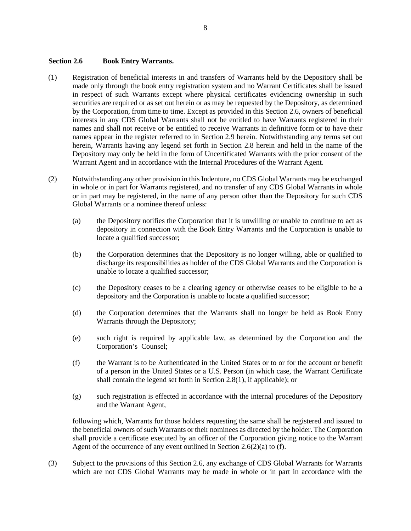# <span id="page-11-0"></span>**Section 2.6 Book Entry Warrants.**

- (1) Registration of beneficial interests in and transfers of Warrants held by the Depository shall be made only through the book entry registration system and no Warrant Certificates shall be issued in respect of such Warrants except where physical certificates evidencing ownership in such securities are required or as set out herein or as may be requested by the Depository, as determined by the Corporation, from time to time. Except as provided in this [Section 2.6,](#page-11-0) owners of beneficial interests in any CDS Global Warrants shall not be entitled to have Warrants registered in their names and shall not receive or be entitled to receive Warrants in definitive form or to have their names appear in the register referred to in [Section 2.9](#page-15-0) herein. Notwithstanding any terms set out herein, Warrants having any legend set forth in Section 2.8 herein and held in the name of the Depository may only be held in the form of Uncertificated Warrants with the prior consent of the Warrant Agent and in accordance with the Internal Procedures of the Warrant Agent.
- <span id="page-11-1"></span>(2) Notwithstanding any other provision in this Indenture, no CDS Global Warrants may be exchanged in whole or in part for Warrants registered, and no transfer of any CDS Global Warrants in whole or in part may be registered, in the name of any person other than the Depository for such CDS Global Warrants or a nominee thereof unless:
	- (a) the Depository notifies the Corporation that it is unwilling or unable to continue to act as depository in connection with the Book Entry Warrants and the Corporation is unable to locate a qualified successor;
	- (b) the Corporation determines that the Depository is no longer willing, able or qualified to discharge its responsibilities as holder of the CDS Global Warrants and the Corporation is unable to locate a qualified successor;
	- (c) the Depository ceases to be a clearing agency or otherwise ceases to be eligible to be a depository and the Corporation is unable to locate a qualified successor;
	- (d) the Corporation determines that the Warrants shall no longer be held as Book Entry Warrants through the Depository;
	- (e) such right is required by applicable law, as determined by the Corporation and the Corporation's Counsel;
	- (f) the Warrant is to be Authenticated in the United States or to or for the account or benefit of a person in the United States or a U.S. Person (in which case, the Warrant Certificate shall contain the legend set forth in Section 2.8(1), if applicable); or
	- (g) such registration is effected in accordance with the internal procedures of the Depository and the Warrant Agent,

<span id="page-11-2"></span>following which, Warrants for those holders requesting the same shall be registered and issued to the beneficial owners of such Warrants or their nominees as directed by the holder. The Corporation shall provide a certificate executed by an officer of the Corporation giving notice to the Warrant Agent of the occurrence of any event outlined in [Section 2.6\(2\)\(a\)](#page-11-1) to [\(f\).](#page-11-2)

(3) Subject to the provisions of this [Section 2.6,](#page-11-0) any exchange of CDS Global Warrants for Warrants which are not CDS Global Warrants may be made in whole or in part in accordance with the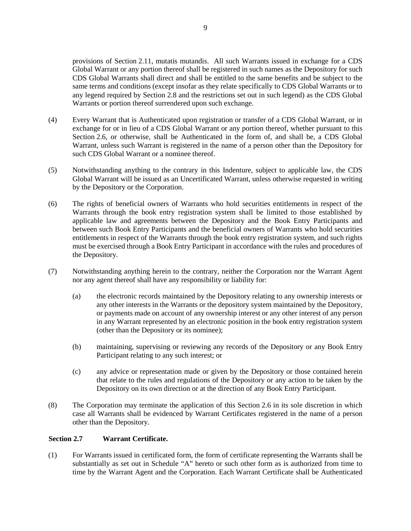provisions of [Section 2.11,](#page-17-0) mutatis mutandis. All such Warrants issued in exchange for a CDS Global Warrant or any portion thereof shall be registered in such names as the Depository for such CDS Global Warrants shall direct and shall be entitled to the same benefits and be subject to the same terms and conditions (except insofar as they relate specifically to CDS Global Warrants or to any legend required by Section 2.8 and the restrictions set out in such legend) as the CDS Global Warrants or portion thereof surrendered upon such exchange.

- (4) Every Warrant that is Authenticated upon registration or transfer of a CDS Global Warrant, or in exchange for or in lieu of a CDS Global Warrant or any portion thereof, whether pursuant to this [Section 2.6,](#page-11-0) or otherwise, shall be Authenticated in the form of, and shall be, a CDS Global Warrant, unless such Warrant is registered in the name of a person other than the Depository for such CDS Global Warrant or a nominee thereof.
- (5) Notwithstanding anything to the contrary in this Indenture, subject to applicable law, the CDS Global Warrant will be issued as an Uncertificated Warrant, unless otherwise requested in writing by the Depository or the Corporation.
- (6) The rights of beneficial owners of Warrants who hold securities entitlements in respect of the Warrants through the book entry registration system shall be limited to those established by applicable law and agreements between the Depository and the Book Entry Participants and between such Book Entry Participants and the beneficial owners of Warrants who hold securities entitlements in respect of the Warrants through the book entry registration system, and such rights must be exercised through a Book Entry Participant in accordance with the rules and procedures of the Depository.
- (7) Notwithstanding anything herein to the contrary, neither the Corporation nor the Warrant Agent nor any agent thereof shall have any responsibility or liability for:
	- (a) the electronic records maintained by the Depository relating to any ownership interests or any other interests in the Warrants or the depository system maintained by the Depository, or payments made on account of any ownership interest or any other interest of any person in any Warrant represented by an electronic position in the book entry registration system (other than the Depository or its nominee);
	- (b) maintaining, supervising or reviewing any records of the Depository or any Book Entry Participant relating to any such interest; or
	- (c) any advice or representation made or given by the Depository or those contained herein that relate to the rules and regulations of the Depository or any action to be taken by the Depository on its own direction or at the direction of any Book Entry Participant.
- (8) The Corporation may terminate the application of this [Section 2.6](#page-11-0) in its sole discretion in which case all Warrants shall be evidenced by Warrant Certificates registered in the name of a person other than the Depository.

# <span id="page-12-0"></span>**Section 2.7 Warrant Certificate.**

(1) For Warrants issued in certificated form, the form of certificate representing the Warrants shall be substantially as set out in Schedule "A" hereto or such other form as is authorized from time to time by the Warrant Agent and the Corporation. Each Warrant Certificate shall be Authenticated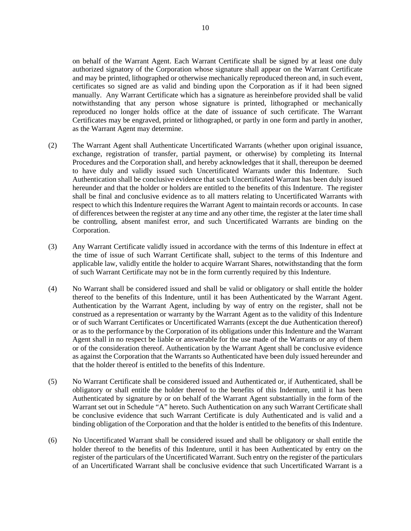on behalf of the Warrant Agent. Each Warrant Certificate shall be signed by at least one duly authorized signatory of the Corporation whose signature shall appear on the Warrant Certificate and may be printed, lithographed or otherwise mechanically reproduced thereon and, in such event, certificates so signed are as valid and binding upon the Corporation as if it had been signed manually. Any Warrant Certificate which has a signature as hereinbefore provided shall be valid notwithstanding that any person whose signature is printed, lithographed or mechanically reproduced no longer holds office at the date of issuance of such certificate. The Warrant Certificates may be engraved, printed or lithographed, or partly in one form and partly in another, as the Warrant Agent may determine.

- (2) The Warrant Agent shall Authenticate Uncertificated Warrants (whether upon original issuance, exchange, registration of transfer, partial payment, or otherwise) by completing its Internal Procedures and the Corporation shall, and hereby acknowledges that it shall, thereupon be deemed to have duly and validly issued such Uncertificated Warrants under this Indenture. Such Authentication shall be conclusive evidence that such Uncertificated Warrant has been duly issued hereunder and that the holder or holders are entitled to the benefits of this Indenture. The register shall be final and conclusive evidence as to all matters relating to Uncertificated Warrants with respect to which this Indenture requires the Warrant Agent to maintain records or accounts. In case of differences between the register at any time and any other time, the register at the later time shall be controlling, absent manifest error, and such Uncertificated Warrants are binding on the Corporation.
- (3) Any Warrant Certificate validly issued in accordance with the terms of this Indenture in effect at the time of issue of such Warrant Certificate shall, subject to the terms of this Indenture and applicable law, validly entitle the holder to acquire Warrant Shares, notwithstanding that the form of such Warrant Certificate may not be in the form currently required by this Indenture.
- (4) No Warrant shall be considered issued and shall be valid or obligatory or shall entitle the holder thereof to the benefits of this Indenture, until it has been Authenticated by the Warrant Agent. Authentication by the Warrant Agent, including by way of entry on the register, shall not be construed as a representation or warranty by the Warrant Agent as to the validity of this Indenture or of such Warrant Certificates or Uncertificated Warrants (except the due Authentication thereof) or as to the performance by the Corporation of its obligations under this Indenture and the Warrant Agent shall in no respect be liable or answerable for the use made of the Warrants or any of them or of the consideration thereof. Authentication by the Warrant Agent shall be conclusive evidence as against the Corporation that the Warrants so Authenticated have been duly issued hereunder and that the holder thereof is entitled to the benefits of this Indenture.
- (5) No Warrant Certificate shall be considered issued and Authenticated or, if Authenticated, shall be obligatory or shall entitle the holder thereof to the benefits of this Indenture, until it has been Authenticated by signature by or on behalf of the Warrant Agent substantially in the form of the Warrant set out in Schedule "A" hereto. Such Authentication on any such Warrant Certificate shall be conclusive evidence that such Warrant Certificate is duly Authenticated and is valid and a binding obligation of the Corporation and that the holder is entitled to the benefits of this Indenture.
- (6) No Uncertificated Warrant shall be considered issued and shall be obligatory or shall entitle the holder thereof to the benefits of this Indenture, until it has been Authenticated by entry on the register of the particulars of the Uncertificated Warrant. Such entry on the register of the particulars of an Uncertificated Warrant shall be conclusive evidence that such Uncertificated Warrant is a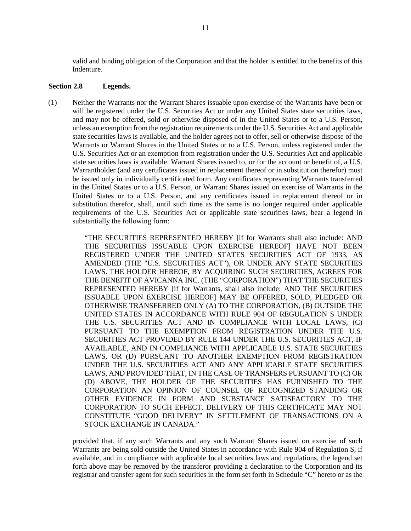valid and binding obligation of the Corporation and that the holder is entitled to the benefits of this Indenture.

#### <span id="page-14-0"></span>**Section 2.8 Legends.**

(1) Neither the Warrants nor the Warrant Shares issuable upon exercise of the Warrants have been or will be registered under the U.S. Securities Act or under any United States state securities laws, and may not be offered, sold or otherwise disposed of in the United States or to a U.S. Person, unless an exemption from the registration requirements under the U.S. Securities Act and applicable state securities laws is available, and the holder agrees not to offer, sell or otherwise dispose of the Warrants or Warrant Shares in the United States or to a U.S. Person, unless registered under the U.S. Securities Act or an exemption from registration under the U.S. Securities Act and applicable state securities laws is available. Warrant Shares issued to, or for the account or benefit of, a U.S. Warrantholder (and any certificates issued in replacement thereof or in substitution therefor) must be issued only in individually certificated form. Any certificates representing Warrants transferred in the United States or to a U.S. Person, or Warrant Shares issued on exercise of Warrants in the United States or to a U.S. Person, and any certificates issued in replacement thereof or in substitution therefor, shall, until such time as the same is no longer required under applicable requirements of the U.S. Securities Act or applicable state securities laws, bear a legend in substantially the following form:

> "THE SECURITIES REPRESENTED HEREBY [if for Warrants shall also include: AND THE SECURITIES ISSUABLE UPON EXERCISE HEREOF] HAVE NOT BEEN REGISTERED UNDER THE UNITED STATES SECURITIES ACT OF 1933, AS AMENDED (THE "U.S. SECURITIES ACT"), OR UNDER ANY STATE SECURITIES LAWS. THE HOLDER HEREOF, BY ACQUIRING SUCH SECURITIES, AGREES FOR THE BENEFIT OF AVICANNA INC. (THE "CORPORATION") THAT THE SECURITIES REPRESENTED HEREBY [if for Warrants, shall also include: AND THE SECURITIES ISSUABLE UPON EXERCISE HEREOF] MAY BE OFFERED, SOLD, PLEDGED OR OTHERWISE TRANSFERRED ONLY (A) TO THE CORPORATION, (B) OUTSIDE THE UNITED STATES IN ACCORDANCE WITH RULE 904 OF REGULATION S UNDER THE U.S. SECURITIES ACT AND IN COMPLIANCE WITH LOCAL LAWS, (C) PURSUANT TO THE EXEMPTION FROM REGISTRATION UNDER THE U.S. SECURITIES ACT PROVIDED BY RULE 144 UNDER THE U.S. SECURITIES ACT, IF AVAILABLE, AND IN COMPLIANCE WITH APPLICABLE U.S. STATE SECURITIES LAWS, OR (D) PURSUANT TO ANOTHER EXEMPTION FROM REGISTRATION UNDER THE U.S. SECURITIES ACT AND ANY APPLICABLE STATE SECURITIES LAWS, AND PROVIDED THAT, IN THE CASE OF TRANSFERS PURSUANT TO (C) OR (D) ABOVE, THE HOLDER OF THE SECURITIES HAS FURNISHED TO THE CORPORATION AN OPINION OF COUNSEL OF RECOGNIZED STANDING OR OTHER EVIDENCE IN FORM AND SUBSTANCE SATISFACTORY TO THE CORPORATION TO SUCH EFFECT. DELIVERY OF THIS CERTIFICATE MAY NOT CONSTITUTE "GOOD DELIVERY" IN SETTLEMENT OF TRANSACTIONS ON A STOCK EXCHANGE IN CANADA."

provided that, if any such Warrants and any such Warrant Shares issued on exercise of such Warrants are being sold outside the United States in accordance with Rule 904 of Regulation S, if available, and in compliance with applicable local securities laws and regulations, the legend set forth above may be removed by the transferor providing a declaration to the Corporation and its registrar and transfer agent for such securities in the form set forth in Schedule "C" hereto or as the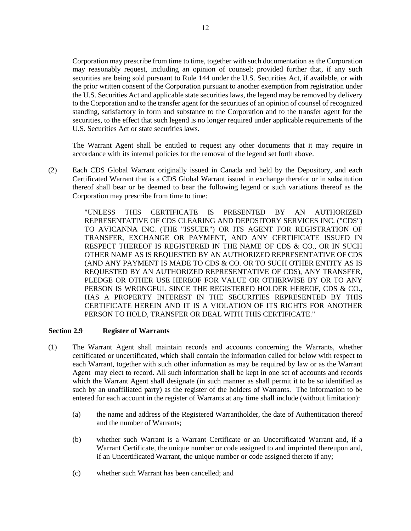Corporation may prescribe from time to time, together with such documentation as the Corporation may reasonably request, including an opinion of counsel; provided further that, if any such securities are being sold pursuant to Rule 144 under the U.S. Securities Act, if available, or with the prior written consent of the Corporation pursuant to another exemption from registration under the U.S. Securities Act and applicable state securities laws, the legend may be removed by delivery to the Corporation and to the transfer agent for the securities of an opinion of counsel of recognized standing, satisfactory in form and substance to the Corporation and to the transfer agent for the securities, to the effect that such legend is no longer required under applicable requirements of the U.S. Securities Act or state securities laws.

The Warrant Agent shall be entitled to request any other documents that it may require in accordance with its internal policies for the removal of the legend set forth above.

(2) Each CDS Global Warrant originally issued in Canada and held by the Depository, and each Certificated Warrant that is a CDS Global Warrant issued in exchange therefor or in substitution thereof shall bear or be deemed to bear the following legend or such variations thereof as the Corporation may prescribe from time to time:

> "UNLESS THIS CERTIFICATE IS PRESENTED BY AN AUTHORIZED REPRESENTATIVE OF CDS CLEARING AND DEPOSITORY SERVICES INC. ("CDS") TO AVICANNA INC. (THE "ISSUER") OR ITS AGENT FOR REGISTRATION OF TRANSFER, EXCHANGE OR PAYMENT, AND ANY CERTIFICATE ISSUED IN RESPECT THEREOF IS REGISTERED IN THE NAME OF CDS & CO., OR IN SUCH OTHER NAME AS IS REQUESTED BY AN AUTHORIZED REPRESENTATIVE OF CDS (AND ANY PAYMENT IS MADE TO CDS & CO. OR TO SUCH OTHER ENTITY AS IS REQUESTED BY AN AUTHORIZED REPRESENTATIVE OF CDS), ANY TRANSFER, PLEDGE OR OTHER USE HEREOF FOR VALUE OR OTHERWISE BY OR TO ANY PERSON IS WRONGFUL SINCE THE REGISTERED HOLDER HEREOF, CDS & CO., HAS A PROPERTY INTEREST IN THE SECURITIES REPRESENTED BY THIS CERTIFICATE HEREIN AND IT IS A VIOLATION OF ITS RIGHTS FOR ANOTHER PERSON TO HOLD, TRANSFER OR DEAL WITH THIS CERTIFICATE."

#### <span id="page-15-0"></span>**Section 2.9 Register of Warrants**

- (1) The Warrant Agent shall maintain records and accounts concerning the Warrants, whether certificated or uncertificated, which shall contain the information called for below with respect to each Warrant, together with such other information as may be required by law or as the Warrant Agent may elect to record. All such information shall be kept in one set of accounts and records which the Warrant Agent shall designate (in such manner as shall permit it to be so identified as such by an unaffiliated party) as the register of the holders of Warrants. The information to be entered for each account in the register of Warrants at any time shall include (without limitation):
	- (a) the name and address of the Registered Warrantholder, the date of Authentication thereof and the number of Warrants;
	- (b) whether such Warrant is a Warrant Certificate or an Uncertificated Warrant and, if a Warrant Certificate, the unique number or code assigned to and imprinted thereupon and, if an Uncertificated Warrant, the unique number or code assigned thereto if any;
	- (c) whether such Warrant has been cancelled; and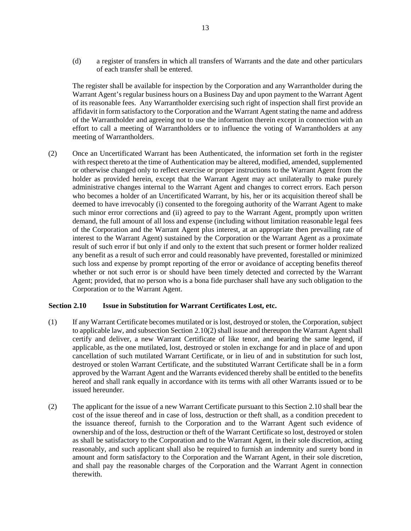(d) a register of transfers in which all transfers of Warrants and the date and other particulars of each transfer shall be entered.

The register shall be available for inspection by the Corporation and any Warrantholder during the Warrant Agent's regular business hours on a Business Day and upon payment to the Warrant Agent of its reasonable fees. Any Warrantholder exercising such right of inspection shall first provide an affidavit in form satisfactory to the Corporation and the Warrant Agent stating the name and address of the Warrantholder and agreeing not to use the information therein except in connection with an effort to call a meeting of Warrantholders or to influence the voting of Warrantholders at any meeting of Warrantholders.

(2) Once an Uncertificated Warrant has been Authenticated, the information set forth in the register with respect thereto at the time of Authentication may be altered, modified, amended, supplemented or otherwise changed only to reflect exercise or proper instructions to the Warrant Agent from the holder as provided herein, except that the Warrant Agent may act unilaterally to make purely administrative changes internal to the Warrant Agent and changes to correct errors. Each person who becomes a holder of an Uncertificated Warrant, by his, her or its acquisition thereof shall be deemed to have irrevocably (i) consented to the foregoing authority of the Warrant Agent to make such minor error corrections and (ii) agreed to pay to the Warrant Agent, promptly upon written demand, the full amount of all loss and expense (including without limitation reasonable legal fees of the Corporation and the Warrant Agent plus interest, at an appropriate then prevailing rate of interest to the Warrant Agent) sustained by the Corporation or the Warrant Agent as a proximate result of such error if but only if and only to the extent that such present or former holder realized any benefit as a result of such error and could reasonably have prevented, forestalled or minimized such loss and expense by prompt reporting of the error or avoidance of accepting benefits thereof whether or not such error is or should have been timely detected and corrected by the Warrant Agent; provided, that no person who is a bona fide purchaser shall have any such obligation to the Corporation or to the Warrant Agent.

# <span id="page-16-1"></span>**Section 2.10 Issue in Substitution for Warrant Certificates Lost, etc.**

- (1) If any Warrant Certificate becomes mutilated or is lost, destroyed or stolen, the Corporation, subject to applicable law, and subsectio[n Section 2.10\(2\)](#page-16-0) shall issue and thereupon the Warrant Agent shall certify and deliver, a new Warrant Certificate of like tenor, and bearing the same legend, if applicable, as the one mutilated, lost, destroyed or stolen in exchange for and in place of and upon cancellation of such mutilated Warrant Certificate, or in lieu of and in substitution for such lost, destroyed or stolen Warrant Certificate, and the substituted Warrant Certificate shall be in a form approved by the Warrant Agent and the Warrants evidenced thereby shall be entitled to the benefits hereof and shall rank equally in accordance with its terms with all other Warrants issued or to be issued hereunder.
- <span id="page-16-0"></span>(2) The applicant for the issue of a new Warrant Certificate pursuant to this [Section 2.10](#page-16-1) shall bear the cost of the issue thereof and in case of loss, destruction or theft shall, as a condition precedent to the issuance thereof, furnish to the Corporation and to the Warrant Agent such evidence of ownership and of the loss, destruction or theft of the Warrant Certificate so lost, destroyed or stolen as shall be satisfactory to the Corporation and to the Warrant Agent, in their sole discretion, acting reasonably, and such applicant shall also be required to furnish an indemnity and surety bond in amount and form satisfactory to the Corporation and the Warrant Agent, in their sole discretion, and shall pay the reasonable charges of the Corporation and the Warrant Agent in connection therewith.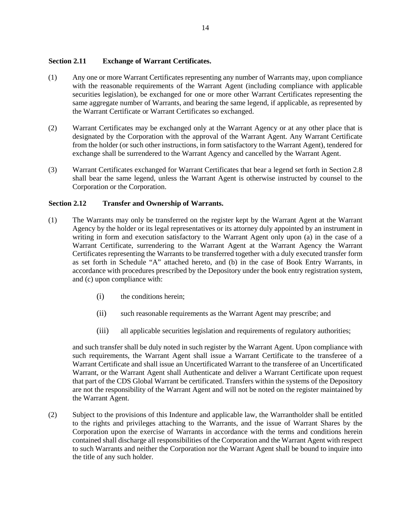# <span id="page-17-0"></span>**Section 2.11 Exchange of Warrant Certificates.**

- (1) Any one or more Warrant Certificates representing any number of Warrants may, upon compliance with the reasonable requirements of the Warrant Agent (including compliance with applicable securities legislation), be exchanged for one or more other Warrant Certificates representing the same aggregate number of Warrants, and bearing the same legend, if applicable, as represented by the Warrant Certificate or Warrant Certificates so exchanged.
- <span id="page-17-2"></span>(2) Warrant Certificates may be exchanged only at the Warrant Agency or at any other place that is designated by the Corporation with the approval of the Warrant Agent. Any Warrant Certificate from the holder (or such other instructions, in form satisfactory to the Warrant Agent), tendered for exchange shall be surrendered to the Warrant Agency and cancelled by the Warrant Agent.
- (3) Warrant Certificates exchanged for Warrant Certificates that bear a legend set forth in [Section 2.8](#page-14-0) shall bear the same legend, unless the Warrant Agent is otherwise instructed by counsel to the Corporation or the Corporation.

# <span id="page-17-1"></span>**Section 2.12 Transfer and Ownership of Warrants.**

- <span id="page-17-3"></span>(1) The Warrants may only be transferred on the register kept by the Warrant Agent at the Warrant Agency by the holder or its legal representatives or its attorney duly appointed by an instrument in writing in form and execution satisfactory to the Warrant Agent only upon (a) in the case of a Warrant Certificate, surrendering to the Warrant Agent at the Warrant Agency the Warrant Certificates representing the Warrants to be transferred together with a duly executed transfer form as set forth in Schedule "A" attached hereto, and (b) in the case of Book Entry Warrants, in accordance with procedures prescribed by the Depository under the book entry registration system, and (c) upon compliance with:
	- (i) the conditions herein;
	- (ii) such reasonable requirements as the Warrant Agent may prescribe; and
	- (iii) all applicable securities legislation and requirements of regulatory authorities;

and such transfer shall be duly noted in such register by the Warrant Agent. Upon compliance with such requirements, the Warrant Agent shall issue a Warrant Certificate to the transferee of a Warrant Certificate and shall issue an Uncertificated Warrant to the transferee of an Uncertificated Warrant, or the Warrant Agent shall Authenticate and deliver a Warrant Certificate upon request that part of the CDS Global Warrant be certificated. Transfers within the systems of the Depository are not the responsibility of the Warrant Agent and will not be noted on the register maintained by the Warrant Agent.

(2) Subject to the provisions of this Indenture and applicable law, the Warrantholder shall be entitled to the rights and privileges attaching to the Warrants, and the issue of Warrant Shares by the Corporation upon the exercise of Warrants in accordance with the terms and conditions herein contained shall discharge all responsibilities of the Corporation and the Warrant Agent with respect to such Warrants and neither the Corporation nor the Warrant Agent shall be bound to inquire into the title of any such holder.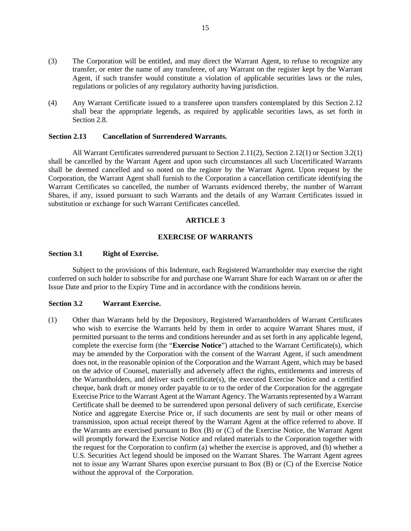- (3) The Corporation will be entitled, and may direct the Warrant Agent, to refuse to recognize any transfer, or enter the name of any transferee, of any Warrant on the register kept by the Warrant Agent, if such transfer would constitute a violation of applicable securities laws or the rules, regulations or policies of any regulatory authority having jurisdiction.
- (4) Any Warrant Certificate issued to a transferee upon transfers contemplated by this [Section 2.12](#page-17-1) shall bear the appropriate legends, as required by applicable securities laws, as set forth in [Section 2.8.](#page-14-0)

### **Section 2.13 Cancellation of Surrendered Warrants.**

All Warrant Certificates surrendered pursuant t[o Section 2.11\(2\),](#page-17-2) [Section 2.12\(1\)](#page-17-3) o[r Section 3.2\(1\)](#page-18-1) shall be cancelled by the Warrant Agent and upon such circumstances all such Uncertificated Warrants shall be deemed cancelled and so noted on the register by the Warrant Agent. Upon request by the Corporation, the Warrant Agent shall furnish to the Corporation a cancellation certificate identifying the Warrant Certificates so cancelled, the number of Warrants evidenced thereby, the number of Warrant Shares, if any, issued pursuant to such Warrants and the details of any Warrant Certificates issued in substitution or exchange for such Warrant Certificates cancelled.

#### **ARTICLE 3**

#### **EXERCISE OF WARRANTS**

#### <span id="page-18-0"></span>**Section 3.1 Right of Exercise.**

Subject to the provisions of this Indenture, each Registered Warrantholder may exercise the right conferred on such holder to subscribe for and purchase one Warrant Share for each Warrant on or after the Issue Date and prior to the Expiry Time and in accordance with the conditions herein.

#### <span id="page-18-2"></span>**Section 3.2 Warrant Exercise.**

<span id="page-18-1"></span>(1) Other than Warrants held by the Depository, Registered Warrantholders of Warrant Certificates who wish to exercise the Warrants held by them in order to acquire Warrant Shares must, if permitted pursuant to the terms and conditions hereunder and as set forth in any applicable legend, complete the exercise form (the "**Exercise Notice**") attached to the Warrant Certificate(s), which may be amended by the Corporation with the consent of the Warrant Agent, if such amendment does not, in the reasonable opinion of the Corporation and the Warrant Agent, which may be based on the advice of Counsel, materially and adversely affect the rights, entitlements and interests of the Warrantholders, and deliver such certificate(s), the executed Exercise Notice and a certified cheque, bank draft or money order payable to or to the order of the Corporation for the aggregate Exercise Price to the Warrant Agent at the Warrant Agency. The Warrants represented by a Warrant Certificate shall be deemed to be surrendered upon personal delivery of such certificate, Exercise Notice and aggregate Exercise Price or, if such documents are sent by mail or other means of transmission, upon actual receipt thereof by the Warrant Agent at the office referred to above. If the Warrants are exercised pursuant to Box (B) or (C) of the Exercise Notice, the Warrant Agent will promptly forward the Exercise Notice and related materials to the Corporation together with the request for the Corporation to confirm (a) whether the exercise is approved, and (b) whether a U.S. Securities Act legend should be imposed on the Warrant Shares. The Warrant Agent agrees not to issue any Warrant Shares upon exercise pursuant to Box (B) or (C) of the Exercise Notice without the approval of the Corporation.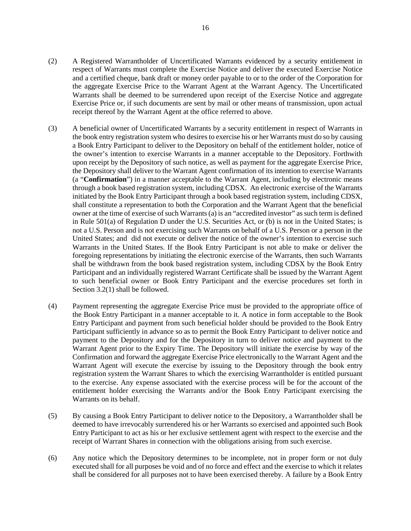- (2) A Registered Warrantholder of Uncertificated Warrants evidenced by a security entitlement in respect of Warrants must complete the Exercise Notice and deliver the executed Exercise Notice and a certified cheque, bank draft or money order payable to or to the order of the Corporation for the aggregate Exercise Price to the Warrant Agent at the Warrant Agency. The Uncertificated Warrants shall be deemed to be surrendered upon receipt of the Exercise Notice and aggregate Exercise Price or, if such documents are sent by mail or other means of transmission, upon actual receipt thereof by the Warrant Agent at the office referred to above.
- (3) A beneficial owner of Uncertificated Warrants by a security entitlement in respect of Warrants in the book entry registration system who desires to exercise his or her Warrants must do so by causing a Book Entry Participant to deliver to the Depository on behalf of the entitlement holder, notice of the owner's intention to exercise Warrants in a manner acceptable to the Depository. Forthwith upon receipt by the Depository of such notice, as well as payment for the aggregate Exercise Price, the Depository shall deliver to the Warrant Agent confirmation of its intention to exercise Warrants (a "**Confirmation**") in a manner acceptable to the Warrant Agent, including by electronic means through a book based registration system, including CDSX. An electronic exercise of the Warrants initiated by the Book Entry Participant through a book based registration system, including CDSX, shall constitute a representation to both the Corporation and the Warrant Agent that the beneficial owner at the time of exercise of such Warrants (a) is an "accredited investor" as such term is defined in Rule 501(a) of Regulation D under the U.S. Securities Act, or (b) is not in the United States; is not a U.S. Person and is not exercising such Warrants on behalf of a U.S. Person or a person in the United States; and did not execute or deliver the notice of the owner's intention to exercise such Warrants in the United States. If the Book Entry Participant is not able to make or deliver the foregoing representations by initiating the electronic exercise of the Warrants, then such Warrants shall be withdrawn from the book based registration system, including CDSX by the Book Entry Participant and an individually registered Warrant Certificate shall be issued by the Warrant Agent to such beneficial owner or Book Entry Participant and the exercise procedures set forth in [Section 3.2\(1\)](#page-18-1) shall be followed.
- (4) Payment representing the aggregate Exercise Price must be provided to the appropriate office of the Book Entry Participant in a manner acceptable to it. A notice in form acceptable to the Book Entry Participant and payment from such beneficial holder should be provided to the Book Entry Participant sufficiently in advance so as to permit the Book Entry Participant to deliver notice and payment to the Depository and for the Depository in turn to deliver notice and payment to the Warrant Agent prior to the Expiry Time. The Depository will initiate the exercise by way of the Confirmation and forward the aggregate Exercise Price electronically to the Warrant Agent and the Warrant Agent will execute the exercise by issuing to the Depository through the book entry registration system the Warrant Shares to which the exercising Warrantholder is entitled pursuant to the exercise. Any expense associated with the exercise process will be for the account of the entitlement holder exercising the Warrants and/or the Book Entry Participant exercising the Warrants on its behalf.
- (5) By causing a Book Entry Participant to deliver notice to the Depository, a Warrantholder shall be deemed to have irrevocably surrendered his or her Warrants so exercised and appointed such Book Entry Participant to act as his or her exclusive settlement agent with respect to the exercise and the receipt of Warrant Shares in connection with the obligations arising from such exercise.
- (6) Any notice which the Depository determines to be incomplete, not in proper form or not duly executed shall for all purposes be void and of no force and effect and the exercise to which it relates shall be considered for all purposes not to have been exercised thereby. A failure by a Book Entry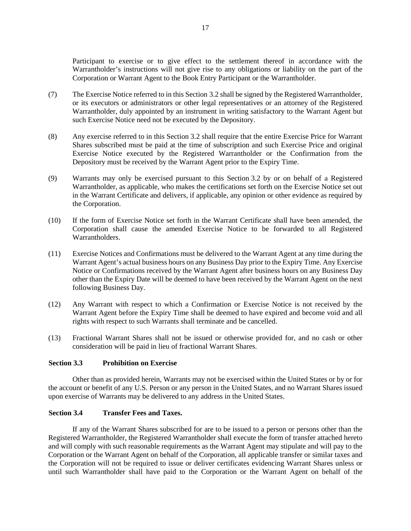Participant to exercise or to give effect to the settlement thereof in accordance with the Warrantholder's instructions will not give rise to any obligations or liability on the part of the Corporation or Warrant Agent to the Book Entry Participant or the Warrantholder.

- (7) The Exercise Notice referred to in this [Section 3.2](#page-18-2) shall be signed by the Registered Warrantholder, or its executors or administrators or other legal representatives or an attorney of the Registered Warrantholder, duly appointed by an instrument in writing satisfactory to the Warrant Agent but such Exercise Notice need not be executed by the Depository.
- (8) Any exercise referred to in this [Section 3.2](#page-18-2) shall require that the entire Exercise Price for Warrant Shares subscribed must be paid at the time of subscription and such Exercise Price and original Exercise Notice executed by the Registered Warrantholder or the Confirmation from the Depository must be received by the Warrant Agent prior to the Expiry Time.
- (9) Warrants may only be exercised pursuant to this [Section 3.2](#page-18-2) by or on behalf of a Registered Warrantholder, as applicable, who makes the certifications set forth on the Exercise Notice set out in the Warrant Certificate and delivers, if applicable, any opinion or other evidence as required by the Corporation.
- (10) If the form of Exercise Notice set forth in the Warrant Certificate shall have been amended, the Corporation shall cause the amended Exercise Notice to be forwarded to all Registered Warrantholders.
- (11) Exercise Notices and Confirmations must be delivered to the Warrant Agent at any time during the Warrant Agent's actual business hours on any Business Day prior to the Expiry Time. Any Exercise Notice or Confirmations received by the Warrant Agent after business hours on any Business Day other than the Expiry Date will be deemed to have been received by the Warrant Agent on the next following Business Day.
- (12) Any Warrant with respect to which a Confirmation or Exercise Notice is not received by the Warrant Agent before the Expiry Time shall be deemed to have expired and become void and all rights with respect to such Warrants shall terminate and be cancelled.
- (13) Fractional Warrant Shares shall not be issued or otherwise provided for, and no cash or other consideration will be paid in lieu of fractional Warrant Shares.

# <span id="page-20-0"></span>**Section 3.3 Prohibition on Exercise**

Other than as provided herein, Warrants may not be exercised within the United States or by or for the account or benefit of any U.S. Person or any person in the United States, and no Warrant Shares issued upon exercise of Warrants may be delivered to any address in the United States.

# <span id="page-20-1"></span>**Section 3.4 Transfer Fees and Taxes.**

If any of the Warrant Shares subscribed for are to be issued to a person or persons other than the Registered Warrantholder, the Registered Warrantholder shall execute the form of transfer attached hereto and will comply with such reasonable requirements as the Warrant Agent may stipulate and will pay to the Corporation or the Warrant Agent on behalf of the Corporation, all applicable transfer or similar taxes and the Corporation will not be required to issue or deliver certificates evidencing Warrant Shares unless or until such Warrantholder shall have paid to the Corporation or the Warrant Agent on behalf of the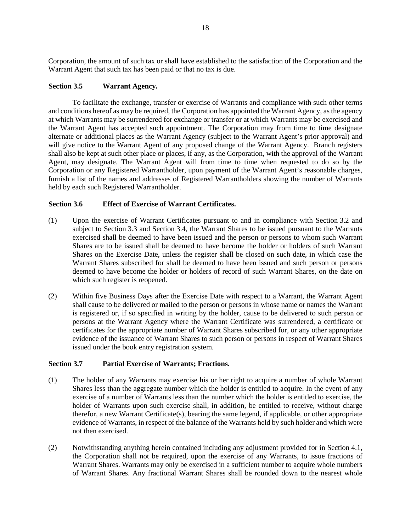Corporation, the amount of such tax or shall have established to the satisfaction of the Corporation and the Warrant Agent that such tax has been paid or that no tax is due.

# <span id="page-21-0"></span>**Section 3.5 Warrant Agency.**

To facilitate the exchange, transfer or exercise of Warrants and compliance with such other terms and conditions hereof as may be required, the Corporation has appointed the Warrant Agency, as the agency at which Warrants may be surrendered for exchange or transfer or at which Warrants may be exercised and the Warrant Agent has accepted such appointment. The Corporation may from time to time designate alternate or additional places as the Warrant Agency (subject to the Warrant Agent's prior approval) and will give notice to the Warrant Agent of any proposed change of the Warrant Agency. Branch registers shall also be kept at such other place or places, if any, as the Corporation, with the approval of the Warrant Agent, may designate. The Warrant Agent will from time to time when requested to do so by the Corporation or any Registered Warrantholder, upon payment of the Warrant Agent's reasonable charges, furnish a list of the names and addresses of Registered Warrantholders showing the number of Warrants held by each such Registered Warrantholder.

# **Section 3.6 Effect of Exercise of Warrant Certificates.**

- (1) Upon the exercise of Warrant Certificates pursuant to and in compliance with [Section 3.2](#page-18-2) and subject to [Section 3.3](#page-20-0) and [Section 3.4,](#page-20-1) the Warrant Shares to be issued pursuant to the Warrants exercised shall be deemed to have been issued and the person or persons to whom such Warrant Shares are to be issued shall be deemed to have become the holder or holders of such Warrant Shares on the Exercise Date, unless the register shall be closed on such date, in which case the Warrant Shares subscribed for shall be deemed to have been issued and such person or persons deemed to have become the holder or holders of record of such Warrant Shares, on the date on which such register is reopened.
- (2) Within five Business Days after the Exercise Date with respect to a Warrant, the Warrant Agent shall cause to be delivered or mailed to the person or persons in whose name or names the Warrant is registered or, if so specified in writing by the holder, cause to be delivered to such person or persons at the Warrant Agency where the Warrant Certificate was surrendered, a certificate or certificates for the appropriate number of Warrant Shares subscribed for, or any other appropriate evidence of the issuance of Warrant Shares to such person or persons in respect of Warrant Shares issued under the book entry registration system.

#### **Section 3.7 Partial Exercise of Warrants; Fractions.**

- (1) The holder of any Warrants may exercise his or her right to acquire a number of whole Warrant Shares less than the aggregate number which the holder is entitled to acquire. In the event of any exercise of a number of Warrants less than the number which the holder is entitled to exercise, the holder of Warrants upon such exercise shall, in addition, be entitled to receive, without charge therefor, a new Warrant Certificate(s), bearing the same legend, if applicable, or other appropriate evidence of Warrants, in respect of the balance of the Warrants held by such holder and which were not then exercised.
- (2) Notwithstanding anything herein contained including any adjustment provided for in [Section 4.1,](#page-22-2)  the Corporation shall not be required, upon the exercise of any Warrants, to issue fractions of Warrant Shares. Warrants may only be exercised in a sufficient number to acquire whole numbers of Warrant Shares. Any fractional Warrant Shares shall be rounded down to the nearest whole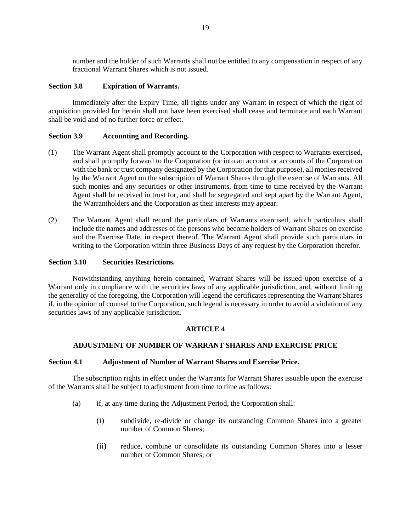number and the holder of such Warrants shall not be entitled to any compensation in respect of any fractional Warrant Shares which is not issued.

# **Section 3.8 Expiration of Warrants.**

Immediately after the Expiry Time, all rights under any Warrant in respect of which the right of acquisition provided for herein shall not have been exercised shall cease and terminate and each Warrant shall be void and of no further force or effect.

# **Section 3.9 Accounting and Recording.**

- (1) The Warrant Agent shall promptly account to the Corporation with respect to Warrants exercised, and shall promptly forward to the Corporation (or into an account or accounts of the Corporation with the bank or trust company designated by the Corporation for that purpose), all monies received by the Warrant Agent on the subscription of Warrant Shares through the exercise of Warrants. All such monies and any securities or other instruments, from time to time received by the Warrant Agent shall be received in trust for, and shall be segregated and kept apart by the Warrant Agent, the Warrantholders and the Corporation as their interests may appear.
- (2) The Warrant Agent shall record the particulars of Warrants exercised, which particulars shall include the names and addresses of the persons who become holders of Warrant Shares on exercise and the Exercise Date, in respect thereof. The Warrant Agent shall provide such particulars in writing to the Corporation within three Business Days of any request by the Corporation therefor.

## **Section 3.10 Securities Restrictions.**

Notwithstanding anything herein contained, Warrant Shares will be issued upon exercise of a Warrant only in compliance with the securities laws of any applicable jurisdiction, and, without limiting the generality of the foregoing, the Corporation will legend the certificates representing the Warrant Shares if, in the opinion of counsel to the Corporation, such legend is necessary in order to avoid a violation of any securities laws of any applicable jurisdiction.

#### **ARTICLE 4**

# <span id="page-22-1"></span>**ADJUSTMENT OF NUMBER OF WARRANT SHARES AND EXERCISE PRICE**

#### <span id="page-22-2"></span>**Section 4.1 Adjustment of Number of Warrant Shares and Exercise Price.**

<span id="page-22-0"></span>The subscription rights in effect under the Warrants for Warrant Shares issuable upon the exercise of the Warrants shall be subject to adjustment from time to time as follows:

- <span id="page-22-4"></span><span id="page-22-3"></span>(a) if, at any time during the Adjustment Period, the Corporation shall:
	- (i) subdivide, re-divide or change its outstanding Common Shares into a greater number of Common Shares;
	- (ii) reduce, combine or consolidate its outstanding Common Shares into a lesser number of Common Shares; or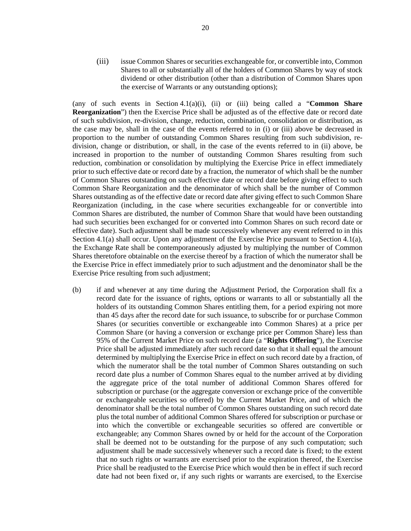<span id="page-23-1"></span>(iii) issue Common Shares or securities exchangeable for, or convertible into, Common Shares to all or substantially all of the holders of Common Shares by way of stock dividend or other distribution (other than a distribution of Common Shares upon the exercise of Warrants or any outstanding options);

(any of such events in Section  $4.1(a)(i)$ , [\(ii\)](#page-22-4) or [\(iii\)](#page-23-1) being called a "**Common Share Reorganization**") then the Exercise Price shall be adjusted as of the effective date or record date of such subdivision, re-division, change, reduction, combination, consolidation or distribution, as the case may be, shall in the case of the events referred to in [\(i\)](#page-22-3) or [\(iii\)](#page-23-1) above be decreased in proportion to the number of outstanding Common Shares resulting from such subdivision, redivision, change or distribution, or shall, in the case of the events referred to in [\(ii\)](#page-22-4) above, be increased in proportion to the number of outstanding Common Shares resulting from such reduction, combination or consolidation by multiplying the Exercise Price in effect immediately prior to such effective date or record date by a fraction, the numerator of which shall be the number of Common Shares outstanding on such effective date or record date before giving effect to such Common Share Reorganization and the denominator of which shall be the number of Common Shares outstanding as of the effective date or record date after giving effect to such Common Share Reorganization (including, in the case where securities exchangeable for or convertible into Common Shares are distributed, the number of Common Share that would have been outstanding had such securities been exchanged for or converted into Common Shares on such record date or effective date). Such adjustment shall be made successively whenever any event referred to in this [Section 4.1\(a\)](#page-22-0) shall occur. Upon any adjustment of the Exercise Price pursuant to [Section 4.1\(a\),](#page-22-0)  the Exchange Rate shall be contemporaneously adjusted by multiplying the number of Common Shares theretofore obtainable on the exercise thereof by a fraction of which the numerator shall be the Exercise Price in effect immediately prior to such adjustment and the denominator shall be the Exercise Price resulting from such adjustment;

<span id="page-23-0"></span>(b) if and whenever at any time during the Adjustment Period, the Corporation shall fix a record date for the issuance of rights, options or warrants to all or substantially all the holders of its outstanding Common Shares entitling them, for a period expiring not more than 45 days after the record date for such issuance, to subscribe for or purchase Common Shares (or securities convertible or exchangeable into Common Shares) at a price per Common Share (or having a conversion or exchange price per Common Share) less than 95% of the Current Market Price on such record date (a "**Rights Offering**"), the Exercise Price shall be adjusted immediately after such record date so that it shall equal the amount determined by multiplying the Exercise Price in effect on such record date by a fraction, of which the numerator shall be the total number of Common Shares outstanding on such record date plus a number of Common Shares equal to the number arrived at by dividing the aggregate price of the total number of additional Common Shares offered for subscription or purchase (or the aggregate conversion or exchange price of the convertible or exchangeable securities so offered) by the Current Market Price, and of which the denominator shall be the total number of Common Shares outstanding on such record date plus the total number of additional Common Shares offered for subscription or purchase or into which the convertible or exchangeable securities so offered are convertible or exchangeable; any Common Shares owned by or held for the account of the Corporation shall be deemed not to be outstanding for the purpose of any such computation; such adjustment shall be made successively whenever such a record date is fixed; to the extent that no such rights or warrants are exercised prior to the expiration thereof, the Exercise Price shall be readjusted to the Exercise Price which would then be in effect if such record date had not been fixed or, if any such rights or warrants are exercised, to the Exercise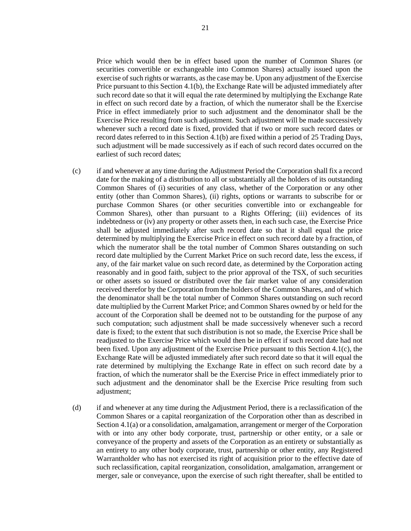Price which would then be in effect based upon the number of Common Shares (or securities convertible or exchangeable into Common Shares) actually issued upon the exercise of such rights or warrants, as the case may be. Upon any adjustment of the Exercise Price pursuant to this [Section 4.1\(b\),](#page-23-0) the Exchange Rate will be adjusted immediately after such record date so that it will equal the rate determined by multiplying the Exchange Rate in effect on such record date by a fraction, of which the numerator shall be the Exercise Price in effect immediately prior to such adjustment and the denominator shall be the Exercise Price resulting from such adjustment. Such adjustment will be made successively whenever such a record date is fixed, provided that if two or more such record dates or record dates referred to in thi[s Section 4.1\(b\)](#page-23-0) are fixed within a period of 25 Trading Days, such adjustment will be made successively as if each of such record dates occurred on the earliest of such record dates;

- <span id="page-24-0"></span>(c) if and whenever at any time during the Adjustment Period the Corporation shall fix a record date for the making of a distribution to all or substantially all the holders of its outstanding Common Shares of (i) securities of any class, whether of the Corporation or any other entity (other than Common Shares), (ii) rights, options or warrants to subscribe for or purchase Common Shares (or other securities convertible into or exchangeable for Common Shares), other than pursuant to a Rights Offering; (iii) evidences of its indebtedness or (iv) any property or other assets then, in each such case, the Exercise Price shall be adjusted immediately after such record date so that it shall equal the price determined by multiplying the Exercise Price in effect on such record date by a fraction, of which the numerator shall be the total number of Common Shares outstanding on such record date multiplied by the Current Market Price on such record date, less the excess, if any, of the fair market value on such record date, as determined by the Corporation acting reasonably and in good faith, subject to the prior approval of the TSX, of such securities or other assets so issued or distributed over the fair market value of any consideration received therefor by the Corporation from the holders of the Common Shares, and of which the denominator shall be the total number of Common Shares outstanding on such record date multiplied by the Current Market Price; and Common Shares owned by or held for the account of the Corporation shall be deemed not to be outstanding for the purpose of any such computation; such adjustment shall be made successively whenever such a record date is fixed; to the extent that such distribution is not so made, the Exercise Price shall be readjusted to the Exercise Price which would then be in effect if such record date had not been fixed. Upon any adjustment of the Exercise Price pursuant to this [Section 4.1\(c\),](#page-24-0) the Exchange Rate will be adjusted immediately after such record date so that it will equal the rate determined by multiplying the Exchange Rate in effect on such record date by a fraction, of which the numerator shall be the Exercise Price in effect immediately prior to such adjustment and the denominator shall be the Exercise Price resulting from such adjustment;
- <span id="page-24-1"></span>(d) if and whenever at any time during the Adjustment Period, there is a reclassification of the Common Shares or a capital reorganization of the Corporation other than as described in [Section 4.1\(a\)](#page-22-0) or a consolidation, amalgamation, arrangement or merger of the Corporation with or into any other body corporate, trust, partnership or other entity, or a sale or conveyance of the property and assets of the Corporation as an entirety or substantially as an entirety to any other body corporate, trust, partnership or other entity, any Registered Warrantholder who has not exercised its right of acquisition prior to the effective date of such reclassification, capital reorganization, consolidation, amalgamation, arrangement or merger, sale or conveyance, upon the exercise of such right thereafter, shall be entitled to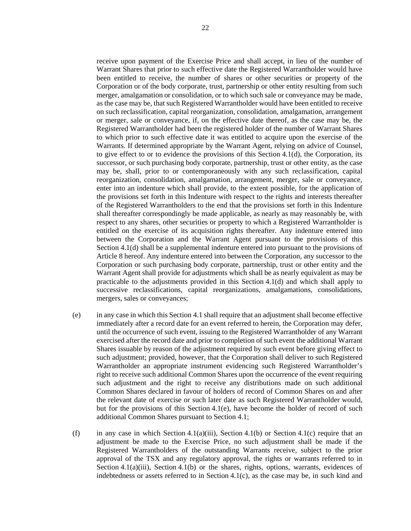receive upon payment of the Exercise Price and shall accept, in lieu of the number of Warrant Shares that prior to such effective date the Registered Warrantholder would have been entitled to receive, the number of shares or other securities or property of the Corporation or of the body corporate, trust, partnership or other entity resulting from such merger, amalgamation or consolidation, or to which such sale or conveyance may be made, as the case may be, that such Registered Warrantholder would have been entitled to receive on such reclassification, capital reorganization, consolidation, amalgamation, arrangement or merger, sale or conveyance, if, on the effective date thereof, as the case may be, the Registered Warrantholder had been the registered holder of the number of Warrant Shares to which prior to such effective date it was entitled to acquire upon the exercise of the Warrants. If determined appropriate by the Warrant Agent, relying on advice of Counsel, to give effect to or to evidence the provisions of this Section 4.1 $(d)$ , the Corporation, its successor, or such purchasing body corporate, partnership, trust or other entity, as the case may be, shall, prior to or contemporaneously with any such reclassification, capital reorganization, consolidation, amalgamation, arrangement, merger, sale or conveyance, enter into an indenture which shall provide, to the extent possible, for the application of the provisions set forth in this Indenture with respect to the rights and interests thereafter of the Registered Warrantholders to the end that the provisions set forth in this Indenture shall thereafter correspondingly be made applicable, as nearly as may reasonably be, with respect to any shares, other securities or property to which a Registered Warrantholder is entitled on the exercise of its acquisition rights thereafter. Any indenture entered into between the Corporation and the Warrant Agent pursuant to the provisions of this [Section 4.1\(d\)](#page-24-1) shall be a supplemental indenture entered into pursuant to the provisions of [Article 8](#page-37-0) hereof. Any indenture entered into between the Corporation, any successor to the Corporation or such purchasing body corporate, partnership, trust or other entity and the Warrant Agent shall provide for adjustments which shall be as nearly equivalent as may be practicable to the adjustments provided in this [Section 4.1\(d\)](#page-24-1) and which shall apply to successive reclassifications, capital reorganizations, amalgamations, consolidations, mergers, sales or conveyances;

- <span id="page-25-0"></span>(e) in any case in which this [Section 4.1 s](#page-22-2)hall require that an adjustment shall become effective immediately after a record date for an event referred to herein, the Corporation may defer, until the occurrence of such event, issuing to the Registered Warrantholder of any Warrant exercised after the record date and prior to completion of such event the additional Warrant Shares issuable by reason of the adjustment required by such event before giving effect to such adjustment; provided, however, that the Corporation shall deliver to such Registered Warrantholder an appropriate instrument evidencing such Registered Warrantholder's right to receive such additional Common Shares upon the occurrence of the event requiring such adjustment and the right to receive any distributions made on such additional Common Shares declared in favour of holders of record of Common Shares on and after the relevant date of exercise or such later date as such Registered Warrantholder would, but for the provisions of this [Section 4.1\(e\),](#page-25-0) have become the holder of record of such additional Common Shares pursuant to [Section 4.1;](#page-22-2)
- (f) in any case in which [Section 4.1\(a\)\(iii\),](#page-23-1) [Section 4.1\(b\)](#page-23-0) or [Section 4.1\(c\)](#page-24-0) require that an adjustment be made to the Exercise Price, no such adjustment shall be made if the Registered Warrantholders of the outstanding Warrants receive, subject to the prior approval of the TSX and any regulatory approval, the rights or warrants referred to in Section  $4.1(a)(iii)$ , Section  $4.1(b)$  or the shares, rights, options, warrants, evidences of indebtedness or assets referred to in [Section 4.1\(c\),](#page-24-0) as the case may be, in such kind and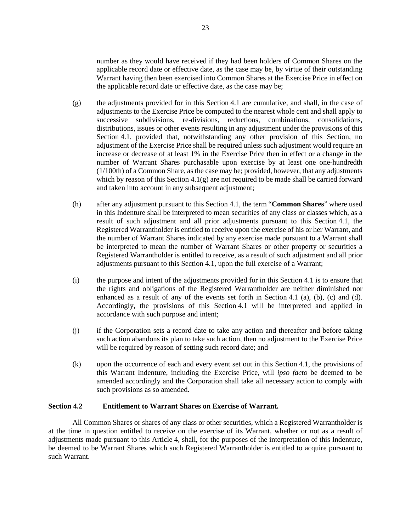number as they would have received if they had been holders of Common Shares on the applicable record date or effective date, as the case may be, by virtue of their outstanding Warrant having then been exercised into Common Shares at the Exercise Price in effect on the applicable record date or effective date, as the case may be;

- <span id="page-26-0"></span>(g) the adjustments provided for in this [Section 4.1](#page-22-2) are cumulative, and shall, in the case of adjustments to the Exercise Price be computed to the nearest whole cent and shall apply to successive subdivisions, re-divisions, reductions, combinations, consolidations, distributions, issues or other events resulting in any adjustment under the provisions of this [Section 4.1,](#page-22-2) provided that, notwithstanding any other provision of this Section, no adjustment of the Exercise Price shall be required unless such adjustment would require an increase or decrease of at least 1% in the Exercise Price then in effect or a change in the number of Warrant Shares purchasable upon exercise by at least one one-hundredth (1/100th) of a Common Share, as the case may be; provided, however, that any adjustments which by reason of this Section  $4.1(g)$  are not required to be made shall be carried forward and taken into account in any subsequent adjustment;
- (h) after any adjustment pursuant to this [Section 4.1,](#page-22-2) the term "**Common Shares**" where used in this Indenture shall be interpreted to mean securities of any class or classes which, as a result of such adjustment and all prior adjustments pursuant to this [Section 4.1,](#page-22-2) the Registered Warrantholder is entitled to receive upon the exercise of his or her Warrant, and the number of Warrant Shares indicated by any exercise made pursuant to a Warrant shall be interpreted to mean the number of Warrant Shares or other property or securities a Registered Warrantholder is entitled to receive, as a result of such adjustment and all prior adjustments pursuant to this [Section 4.1,](#page-22-2) upon the full exercise of a Warrant;
- (i) the purpose and intent of the adjustments provided for in this [Section 4.1](#page-22-2) is to ensure that the rights and obligations of the Registered Warrantholder are neither diminished nor enhanced as a result of any of the events set forth in [Section 4.1](#page-22-2) [\(a\),](#page-22-0) [\(b\),](#page-23-0) [\(c\)](#page-24-0) and [\(d\).](#page-24-1)  Accordingly, the provisions of this [Section 4.1](#page-22-2) will be interpreted and applied in accordance with such purpose and intent;
- (j) if the Corporation sets a record date to take any action and thereafter and before taking such action abandons its plan to take such action, then no adjustment to the Exercise Price will be required by reason of setting such record date; and
- (k) upon the occurrence of each and every event set out in this [Section 4.1,](#page-22-2) the provisions of this Warrant Indenture, including the Exercise Price, will *ipso facto* be deemed to be amended accordingly and the Corporation shall take all necessary action to comply with such provisions as so amended.

# **Section 4.2 Entitlement to Warrant Shares on Exercise of Warrant.**

All Common Shares or shares of any class or other securities, which a Registered Warrantholder is at the time in question entitled to receive on the exercise of its Warrant, whether or not as a result of adjustments made pursuant to this [Article 4,](#page-22-1) shall, for the purposes of the interpretation of this Indenture, be deemed to be Warrant Shares which such Registered Warrantholder is entitled to acquire pursuant to such Warrant.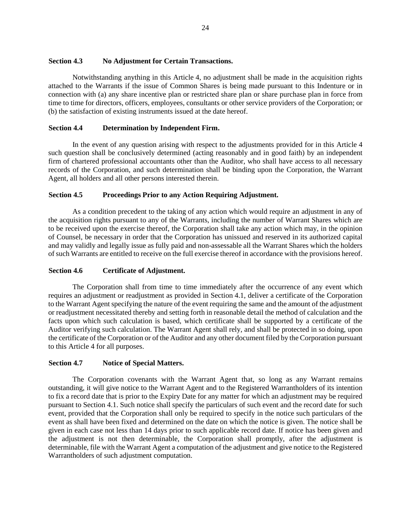# **Section 4.3 No Adjustment for Certain Transactions.**

Notwithstanding anything in this [Article 4,](#page-22-1) no adjustment shall be made in the acquisition rights attached to the Warrants if the issue of Common Shares is being made pursuant to this Indenture or in connection with (a) any share incentive plan or restricted share plan or share purchase plan in force from time to time for directors, officers, employees, consultants or other service providers of the Corporation; or (b) the satisfaction of existing instruments issued at the date hereof.

# **Section 4.4 Determination by Independent Firm.**

In the event of any question arising with respect to the adjustments provided for in this [Article 4](#page-22-1) such question shall be conclusively determined (acting reasonably and in good faith) by an independent firm of chartered professional accountants other than the Auditor, who shall have access to all necessary records of the Corporation, and such determination shall be binding upon the Corporation, the Warrant Agent, all holders and all other persons interested therein.

## **Section 4.5 Proceedings Prior to any Action Requiring Adjustment.**

As a condition precedent to the taking of any action which would require an adjustment in any of the acquisition rights pursuant to any of the Warrants, including the number of Warrant Shares which are to be received upon the exercise thereof, the Corporation shall take any action which may, in the opinion of Counsel, be necessary in order that the Corporation has unissued and reserved in its authorized capital and may validly and legally issue as fully paid and non-assessable all the Warrant Shares which the holders of such Warrants are entitled to receive on the full exercise thereof in accordance with the provisions hereof.

# <span id="page-27-0"></span>**Section 4.6 Certificate of Adjustment.**

The Corporation shall from time to time immediately after the occurrence of any event which requires an adjustment or readjustment as provided in [Section 4.1,](#page-22-2) deliver a certificate of the Corporation to the Warrant Agent specifying the nature of the event requiring the same and the amount of the adjustment or readjustment necessitated thereby and setting forth in reasonable detail the method of calculation and the facts upon which such calculation is based, which certificate shall be supported by a certificate of the Auditor verifying such calculation. The Warrant Agent shall rely, and shall be protected in so doing, upon the certificate of the Corporation or of the Auditor and any other document filed by the Corporation pursuant to this [Article 4](#page-22-1) for all purposes.

#### <span id="page-27-1"></span>**Section 4.7 Notice of Special Matters.**

The Corporation covenants with the Warrant Agent that, so long as any Warrant remains outstanding, it will give notice to the Warrant Agent and to the Registered Warrantholders of its intention to fix a record date that is prior to the Expiry Date for any matter for which an adjustment may be required pursuant to [Section 4.1.](#page-22-2) Such notice shall specify the particulars of such event and the record date for such event, provided that the Corporation shall only be required to specify in the notice such particulars of the event as shall have been fixed and determined on the date on which the notice is given. The notice shall be given in each case not less than 14 days prior to such applicable record date. If notice has been given and the adjustment is not then determinable, the Corporation shall promptly, after the adjustment is determinable, file with the Warrant Agent a computation of the adjustment and give notice to the Registered Warrantholders of such adjustment computation.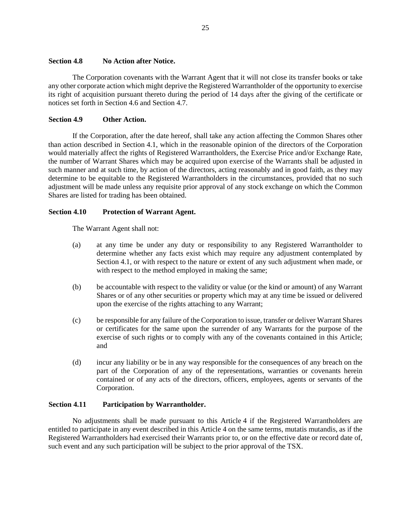## **Section 4.8 No Action after Notice.**

The Corporation covenants with the Warrant Agent that it will not close its transfer books or take any other corporate action which might deprive the Registered Warrantholder of the opportunity to exercise its right of acquisition pursuant thereto during the period of 14 days after the giving of the certificate or notices set forth in [Section 4.6](#page-27-0) and [Section 4.7.](#page-27-1)

# **Section 4.9 Other Action.**

If the Corporation, after the date hereof, shall take any action affecting the Common Shares other than action described in [Section 4.1,](#page-22-2) which in the reasonable opinion of the directors of the Corporation would materially affect the rights of Registered Warrantholders, the Exercise Price and/or Exchange Rate, the number of Warrant Shares which may be acquired upon exercise of the Warrants shall be adjusted in such manner and at such time, by action of the directors, acting reasonably and in good faith, as they may determine to be equitable to the Registered Warrantholders in the circumstances, provided that no such adjustment will be made unless any requisite prior approval of any stock exchange on which the Common Shares are listed for trading has been obtained.

# **Section 4.10 Protection of Warrant Agent.**

The Warrant Agent shall not:

- (a) at any time be under any duty or responsibility to any Registered Warrantholder to determine whether any facts exist which may require any adjustment contemplated by [Section 4.1,](#page-22-2) or with respect to the nature or extent of any such adjustment when made, or with respect to the method employed in making the same;
- (b) be accountable with respect to the validity or value (or the kind or amount) of any Warrant Shares or of any other securities or property which may at any time be issued or delivered upon the exercise of the rights attaching to any Warrant;
- (c) be responsible for any failure of the Corporation to issue, transfer or deliver Warrant Shares or certificates for the same upon the surrender of any Warrants for the purpose of the exercise of such rights or to comply with any of the covenants contained in this Article; and
- (d) incur any liability or be in any way responsible for the consequences of any breach on the part of the Corporation of any of the representations, warranties or covenants herein contained or of any acts of the directors, officers, employees, agents or servants of the Corporation.

#### **Section 4.11 Participation by Warrantholder.**

No adjustments shall be made pursuant to this [Article 4](#page-22-1) if the Registered Warrantholders are entitled to participate in any event described in thi[s Article 4](#page-22-1) on the same terms, mutatis mutandis, as if the Registered Warrantholders had exercised their Warrants prior to, or on the effective date or record date of, such event and any such participation will be subject to the prior approval of the TSX.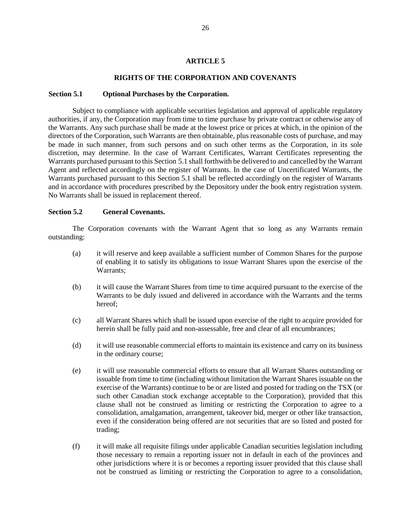# **ARTICLE 5**

## **RIGHTS OF THE CORPORATION AND COVENANTS**

#### <span id="page-29-0"></span>**Section 5.1 Optional Purchases by the Corporation.**

Subject to compliance with applicable securities legislation and approval of applicable regulatory authorities, if any, the Corporation may from time to time purchase by private contract or otherwise any of the Warrants. Any such purchase shall be made at the lowest price or prices at which, in the opinion of the directors of the Corporation, such Warrants are then obtainable, plus reasonable costs of purchase, and may be made in such manner, from such persons and on such other terms as the Corporation, in its sole discretion, may determine. In the case of Warrant Certificates, Warrant Certificates representing the Warrants purchased pursuant to this [Section 5.1 s](#page-29-0)hall forthwith be delivered to and cancelled by the Warrant Agent and reflected accordingly on the register of Warrants. In the case of Uncertificated Warrants, the Warrants purchased pursuant to this [Section 5.1](#page-29-0) shall be reflected accordingly on the register of Warrants and in accordance with procedures prescribed by the Depository under the book entry registration system. No Warrants shall be issued in replacement thereof.

#### **Section 5.2 General Covenants.**

The Corporation covenants with the Warrant Agent that so long as any Warrants remain outstanding:

- (a) it will reserve and keep available a sufficient number of Common Shares for the purpose of enabling it to satisfy its obligations to issue Warrant Shares upon the exercise of the Warrants;
- (b) it will cause the Warrant Shares from time to time acquired pursuant to the exercise of the Warrants to be duly issued and delivered in accordance with the Warrants and the terms hereof;
- (c) all Warrant Shares which shall be issued upon exercise of the right to acquire provided for herein shall be fully paid and non-assessable, free and clear of all encumbrances;
- (d) it will use reasonable commercial efforts to maintain its existence and carry on its business in the ordinary course;
- (e) it will use reasonable commercial efforts to ensure that all Warrant Shares outstanding or issuable from time to time (including without limitation the Warrant Shares issuable on the exercise of the Warrants) continue to be or are listed and posted for trading on the TSX (or such other Canadian stock exchange acceptable to the Corporation), provided that this clause shall not be construed as limiting or restricting the Corporation to agree to a consolidation, amalgamation, arrangement, takeover bid, merger or other like transaction, even if the consideration being offered are not securities that are so listed and posted for trading;
- (f) it will make all requisite filings under applicable Canadian securities legislation including those necessary to remain a reporting issuer not in default in each of the provinces and other jurisdictions where it is or becomes a reporting issuer provided that this clause shall not be construed as limiting or restricting the Corporation to agree to a consolidation,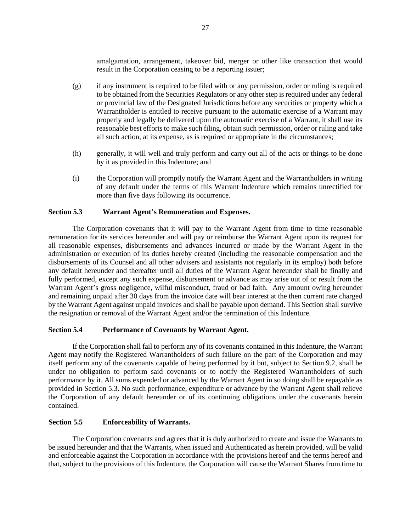amalgamation, arrangement, takeover bid, merger or other like transaction that would result in the Corporation ceasing to be a reporting issuer;

- $(g)$  if any instrument is required to be filed with or any permission, order or ruling is required to be obtained from the Securities Regulators or any other step is required under any federal or provincial law of the Designated Jurisdictions before any securities or property which a Warrantholder is entitled to receive pursuant to the automatic exercise of a Warrant may properly and legally be delivered upon the automatic exercise of a Warrant, it shall use its reasonable best efforts to make such filing, obtain such permission, order or ruling and take all such action, at its expense, as is required or appropriate in the circumstances;
- (h) generally, it will well and truly perform and carry out all of the acts or things to be done by it as provided in this Indenture; and
- (i) the Corporation will promptly notify the Warrant Agent and the Warrantholders in writing of any default under the terms of this Warrant Indenture which remains unrectified for more than five days following its occurrence.

## <span id="page-30-0"></span>**Section 5.3 Warrant Agent's Remuneration and Expenses.**

The Corporation covenants that it will pay to the Warrant Agent from time to time reasonable remuneration for its services hereunder and will pay or reimburse the Warrant Agent upon its request for all reasonable expenses, disbursements and advances incurred or made by the Warrant Agent in the administration or execution of its duties hereby created (including the reasonable compensation and the disbursements of its Counsel and all other advisers and assistants not regularly in its employ) both before any default hereunder and thereafter until all duties of the Warrant Agent hereunder shall be finally and fully performed, except any such expense, disbursement or advance as may arise out of or result from the Warrant Agent's gross negligence, wilful misconduct, fraud or bad faith. Any amount owing hereunder and remaining unpaid after 30 days from the invoice date will bear interest at the then current rate charged by the Warrant Agent against unpaid invoices and shall be payable upon demand. This Section shall survive the resignation or removal of the Warrant Agent and/or the termination of this Indenture.

# **Section 5.4 Performance of Covenants by Warrant Agent.**

If the Corporation shall fail to perform any of its covenants contained in this Indenture, the Warrant Agent may notify the Registered Warrantholders of such failure on the part of the Corporation and may itself perform any of the covenants capable of being performed by it but, subject to [Section 9.2,](#page-38-0) shall be under no obligation to perform said covenants or to notify the Registered Warrantholders of such performance by it. All sums expended or advanced by the Warrant Agent in so doing shall be repayable as provided in [Section 5.3.](#page-30-0) No such performance, expenditure or advance by the Warrant Agent shall relieve the Corporation of any default hereunder or of its continuing obligations under the covenants herein contained.

### **Section 5.5 Enforceability of Warrants.**

The Corporation covenants and agrees that it is duly authorized to create and issue the Warrants to be issued hereunder and that the Warrants, when issued and Authenticated as herein provided, will be valid and enforceable against the Corporation in accordance with the provisions hereof and the terms hereof and that, subject to the provisions of this Indenture, the Corporation will cause the Warrant Shares from time to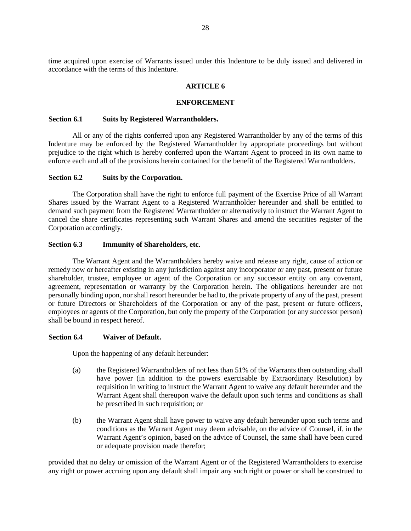time acquired upon exercise of Warrants issued under this Indenture to be duly issued and delivered in accordance with the terms of this Indenture.

#### **ARTICLE 6**

#### **ENFORCEMENT**

#### **Section 6.1 Suits by Registered Warrantholders.**

All or any of the rights conferred upon any Registered Warrantholder by any of the terms of this Indenture may be enforced by the Registered Warrantholder by appropriate proceedings but without prejudice to the right which is hereby conferred upon the Warrant Agent to proceed in its own name to enforce each and all of the provisions herein contained for the benefit of the Registered Warrantholders.

#### **Section 6.2 Suits by the Corporation.**

The Corporation shall have the right to enforce full payment of the Exercise Price of all Warrant Shares issued by the Warrant Agent to a Registered Warrantholder hereunder and shall be entitled to demand such payment from the Registered Warrantholder or alternatively to instruct the Warrant Agent to cancel the share certificates representing such Warrant Shares and amend the securities register of the Corporation accordingly.

#### **Section 6.3 Immunity of Shareholders, etc.**

The Warrant Agent and the Warrantholders hereby waive and release any right, cause of action or remedy now or hereafter existing in any jurisdiction against any incorporator or any past, present or future shareholder, trustee, employee or agent of the Corporation or any successor entity on any covenant, agreement, representation or warranty by the Corporation herein. The obligations hereunder are not personally binding upon, nor shall resort hereunder be had to, the private property of any of the past, present or future Directors or Shareholders of the Corporation or any of the past, present or future officers, employees or agents of the Corporation, but only the property of the Corporation (or any successor person) shall be bound in respect hereof.

## **Section 6.4 Waiver of Default.**

Upon the happening of any default hereunder:

- (a) the Registered Warrantholders of not less than 51% of the Warrants then outstanding shall have power (in addition to the powers exercisable by Extraordinary Resolution) by requisition in writing to instruct the Warrant Agent to waive any default hereunder and the Warrant Agent shall thereupon waive the default upon such terms and conditions as shall be prescribed in such requisition; or
- (b) the Warrant Agent shall have power to waive any default hereunder upon such terms and conditions as the Warrant Agent may deem advisable, on the advice of Counsel, if, in the Warrant Agent's opinion, based on the advice of Counsel, the same shall have been cured or adequate provision made therefor;

provided that no delay or omission of the Warrant Agent or of the Registered Warrantholders to exercise any right or power accruing upon any default shall impair any such right or power or shall be construed to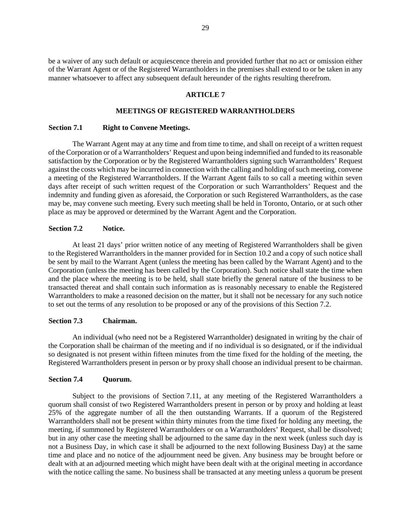<span id="page-32-1"></span>be a waiver of any such default or acquiescence therein and provided further that no act or omission either of the Warrant Agent or of the Registered Warrantholders in the premises shall extend to or be taken in any manner whatsoever to affect any subsequent default hereunder of the rights resulting therefrom.

#### **ARTICLE 7**

#### **MEETINGS OF REGISTERED WARRANTHOLDERS**

#### **Section 7.1 Right to Convene Meetings.**

The Warrant Agent may at any time and from time to time, and shall on receipt of a written request of the Corporation or of a Warrantholders' Request and upon being indemnified and funded to its reasonable satisfaction by the Corporation or by the Registered Warrantholders signing such Warrantholders' Request against the costs which may be incurred in connection with the calling and holding of such meeting, convene a meeting of the Registered Warrantholders. If the Warrant Agent fails to so call a meeting within seven days after receipt of such written request of the Corporation or such Warrantholders' Request and the indemnity and funding given as aforesaid, the Corporation or such Registered Warrantholders, as the case may be, may convene such meeting. Every such meeting shall be held in Toronto, Ontario, or at such other place as may be approved or determined by the Warrant Agent and the Corporation.

## <span id="page-32-0"></span>**Section 7.2 Notice.**

At least 21 days' prior written notice of any meeting of Registered Warrantholders shall be given to the Registered Warrantholders in the manner provided for in [Section 10.2](#page-45-0) and a copy of such notice shall be sent by mail to the Warrant Agent (unless the meeting has been called by the Warrant Agent) and to the Corporation (unless the meeting has been called by the Corporation). Such notice shall state the time when and the place where the meeting is to be held, shall state briefly the general nature of the business to be transacted thereat and shall contain such information as is reasonably necessary to enable the Registered Warrantholders to make a reasoned decision on the matter, but it shall not be necessary for any such notice to set out the terms of any resolution to be proposed or any of the provisions of this [Section 7.2.](#page-32-0)

## **Section 7.3 Chairman.**

An individual (who need not be a Registered Warrantholder) designated in writing by the chair of the Corporation shall be chairman of the meeting and if no individual is so designated, or if the individual so designated is not present within fifteen minutes from the time fixed for the holding of the meeting, the Registered Warrantholders present in person or by proxy shall choose an individual present to be chairman.

### **Section 7.4 Quorum.**

Subject to the provisions of [Section 7.11,](#page-35-1) at any meeting of the Registered Warrantholders a quorum shall consist of two Registered Warrantholders present in person or by proxy and holding at least 25% of the aggregate number of all the then outstanding Warrants. If a quorum of the Registered Warrantholders shall not be present within thirty minutes from the time fixed for holding any meeting, the meeting, if summoned by Registered Warrantholders or on a Warrantholders' Request, shall be dissolved; but in any other case the meeting shall be adjourned to the same day in the next week (unless such day is not a Business Day, in which case it shall be adjourned to the next following Business Day) at the same time and place and no notice of the adjournment need be given. Any business may be brought before or dealt with at an adjourned meeting which might have been dealt with at the original meeting in accordance with the notice calling the same. No business shall be transacted at any meeting unless a quorum be present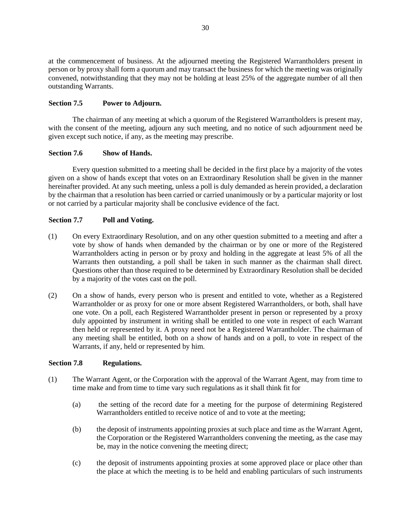at the commencement of business. At the adjourned meeting the Registered Warrantholders present in person or by proxy shall form a quorum and may transact the business for which the meeting was originally convened, notwithstanding that they may not be holding at least 25% of the aggregate number of all then outstanding Warrants.

# **Section 7.5 Power to Adjourn.**

The chairman of any meeting at which a quorum of the Registered Warrantholders is present may, with the consent of the meeting, adjourn any such meeting, and no notice of such adjournment need be given except such notice, if any, as the meeting may prescribe.

# **Section 7.6 Show of Hands.**

Every question submitted to a meeting shall be decided in the first place by a majority of the votes given on a show of hands except that votes on an Extraordinary Resolution shall be given in the manner hereinafter provided. At any such meeting, unless a poll is duly demanded as herein provided, a declaration by the chairman that a resolution has been carried or carried unanimously or by a particular majority or lost or not carried by a particular majority shall be conclusive evidence of the fact.

# **Section 7.7 Poll and Voting.**

- (1) On every Extraordinary Resolution, and on any other question submitted to a meeting and after a vote by show of hands when demanded by the chairman or by one or more of the Registered Warrantholders acting in person or by proxy and holding in the aggregate at least 5% of all the Warrants then outstanding, a poll shall be taken in such manner as the chairman shall direct. Questions other than those required to be determined by Extraordinary Resolution shall be decided by a majority of the votes cast on the poll.
- (2) On a show of hands, every person who is present and entitled to vote, whether as a Registered Warrantholder or as proxy for one or more absent Registered Warrantholders, or both, shall have one vote. On a poll, each Registered Warrantholder present in person or represented by a proxy duly appointed by instrument in writing shall be entitled to one vote in respect of each Warrant then held or represented by it. A proxy need not be a Registered Warrantholder. The chairman of any meeting shall be entitled, both on a show of hands and on a poll, to vote in respect of the Warrants, if any, held or represented by him.

# **Section 7.8 Regulations.**

- (1) The Warrant Agent, or the Corporation with the approval of the Warrant Agent, may from time to time make and from time to time vary such regulations as it shall think fit for
	- (a) the setting of the record date for a meeting for the purpose of determining Registered Warrantholders entitled to receive notice of and to vote at the meeting;
	- (b) the deposit of instruments appointing proxies at such place and time as the Warrant Agent, the Corporation or the Registered Warrantholders convening the meeting, as the case may be, may in the notice convening the meeting direct;
	- (c) the deposit of instruments appointing proxies at some approved place or place other than the place at which the meeting is to be held and enabling particulars of such instruments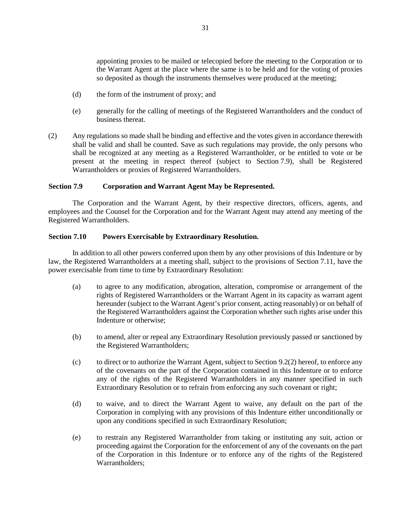appointing proxies to be mailed or telecopied before the meeting to the Corporation or to the Warrant Agent at the place where the same is to be held and for the voting of proxies so deposited as though the instruments themselves were produced at the meeting;

- (d) the form of the instrument of proxy; and
- (e) generally for the calling of meetings of the Registered Warrantholders and the conduct of business thereat.
- (2) Any regulations so made shall be binding and effective and the votes given in accordance therewith shall be valid and shall be counted. Save as such regulations may provide, the only persons who shall be recognized at any meeting as a Registered Warrantholder, or be entitled to vote or be present at the meeting in respect thereof (subject to [Section 7.9\)](#page-34-0), shall be Registered Warrantholders or proxies of Registered Warrantholders.

## <span id="page-34-0"></span>**Section 7.9 Corporation and Warrant Agent May be Represented.**

The Corporation and the Warrant Agent, by their respective directors, officers, agents, and employees and the Counsel for the Corporation and for the Warrant Agent may attend any meeting of the Registered Warrantholders.

## **Section 7.10 Powers Exercisable by Extraordinary Resolution.**

In addition to all other powers conferred upon them by any other provisions of this Indenture or by law, the Registered Warrantholders at a meeting shall, subject to the provisions of [Section 7.11,](#page-35-1) have the power exercisable from time to time by Extraordinary Resolution:

- (a) to agree to any modification, abrogation, alteration, compromise or arrangement of the rights of Registered Warrantholders or the Warrant Agent in its capacity as warrant agent hereunder (subject to the Warrant Agent's prior consent, acting reasonably) or on behalf of the Registered Warrantholders against the Corporation whether such rights arise under this Indenture or otherwise;
- (b) to amend, alter or repeal any Extraordinary Resolution previously passed or sanctioned by the Registered Warrantholders;
- (c) to direct or to authorize the Warrant Agent, subject t[o Section 9.2\(2\)](#page-38-1) hereof, to enforce any of the covenants on the part of the Corporation contained in this Indenture or to enforce any of the rights of the Registered Warrantholders in any manner specified in such Extraordinary Resolution or to refrain from enforcing any such covenant or right;
- (d) to waive, and to direct the Warrant Agent to waive, any default on the part of the Corporation in complying with any provisions of this Indenture either unconditionally or upon any conditions specified in such Extraordinary Resolution;
- (e) to restrain any Registered Warrantholder from taking or instituting any suit, action or proceeding against the Corporation for the enforcement of any of the covenants on the part of the Corporation in this Indenture or to enforce any of the rights of the Registered Warrantholders;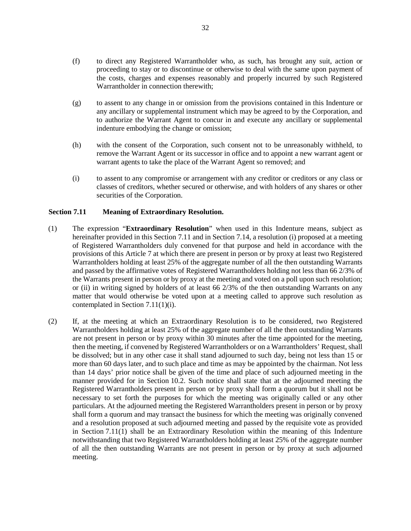- (f) to direct any Registered Warrantholder who, as such, has brought any suit, action or proceeding to stay or to discontinue or otherwise to deal with the same upon payment of the costs, charges and expenses reasonably and properly incurred by such Registered Warrantholder in connection therewith;
- (g) to assent to any change in or omission from the provisions contained in this Indenture or any ancillary or supplemental instrument which may be agreed to by the Corporation, and to authorize the Warrant Agent to concur in and execute any ancillary or supplemental indenture embodying the change or omission;
- (h) with the consent of the Corporation, such consent not to be unreasonably withheld, to remove the Warrant Agent or its successor in office and to appoint a new warrant agent or warrant agents to take the place of the Warrant Agent so removed; and
- <span id="page-35-0"></span>(i) to assent to any compromise or arrangement with any creditor or creditors or any class or classes of creditors, whether secured or otherwise, and with holders of any shares or other securities of the Corporation.

# <span id="page-35-1"></span>**Section 7.11 Meaning of Extraordinary Resolution.**

- <span id="page-35-2"></span>(1) The expression "**Extraordinary Resolution**" when used in this Indenture means, subject as hereinafter provided in thi[s Section 7.11](#page-35-1) and i[n Section 7.14,](#page-36-0) a resolution (i) proposed at a meeting of Registered Warrantholders duly convened for that purpose and held in accordance with the provisions of this [Article 7](#page-32-1) at which there are present in person or by proxy at least two Registered Warrantholders holding at least 25% of the aggregate number of all the then outstanding Warrants and passed by the affirmative votes of Registered Warrantholders holding not less than 66 2/3% of the Warrants present in person or by proxy at the meeting and voted on a poll upon such resolution; or (ii) in writing signed by holders of at least 66 2/3% of the then outstanding Warrants on any matter that would otherwise be voted upon at a meeting called to approve such resolution as contemplated in Section 7.11(1)(i).
- (2) If, at the meeting at which an Extraordinary Resolution is to be considered, two Registered Warrantholders holding at least 25% of the aggregate number of all the then outstanding Warrants are not present in person or by proxy within 30 minutes after the time appointed for the meeting, then the meeting, if convened by Registered Warrantholders or on a Warrantholders' Request, shall be dissolved; but in any other case it shall stand adjourned to such day, being not less than 15 or more than 60 days later, and to such place and time as may be appointed by the chairman. Not less than 14 days' prior notice shall be given of the time and place of such adjourned meeting in the manner provided for in [Section 10.2.](#page-45-0) Such notice shall state that at the adjourned meeting the Registered Warrantholders present in person or by proxy shall form a quorum but it shall not be necessary to set forth the purposes for which the meeting was originally called or any other particulars. At the adjourned meeting the Registered Warrantholders present in person or by proxy shall form a quorum and may transact the business for which the meeting was originally convened and a resolution proposed at such adjourned meeting and passed by the requisite vote as provided in [Section 7.11\(1\)](#page-35-2) shall be an Extraordinary Resolution within the meaning of this Indenture notwithstanding that two Registered Warrantholders holding at least 25% of the aggregate number of all the then outstanding Warrants are not present in person or by proxy at such adjourned meeting.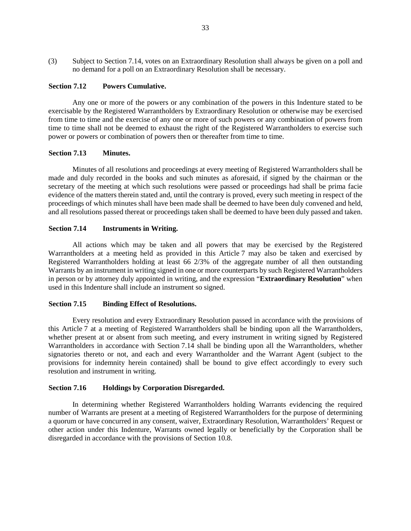(3) Subject to [Section 7.14,](#page-36-0) votes on an Extraordinary Resolution shall always be given on a poll and no demand for a poll on an Extraordinary Resolution shall be necessary.

## **Section 7.12 Powers Cumulative.**

Any one or more of the powers or any combination of the powers in this Indenture stated to be exercisable by the Registered Warrantholders by Extraordinary Resolution or otherwise may be exercised from time to time and the exercise of any one or more of such powers or any combination of powers from time to time shall not be deemed to exhaust the right of the Registered Warrantholders to exercise such power or powers or combination of powers then or thereafter from time to time.

## **Section 7.13 Minutes.**

Minutes of all resolutions and proceedings at every meeting of Registered Warrantholders shall be made and duly recorded in the books and such minutes as aforesaid, if signed by the chairman or the secretary of the meeting at which such resolutions were passed or proceedings had shall be prima facie evidence of the matters therein stated and, until the contrary is proved, every such meeting in respect of the proceedings of which minutes shall have been made shall be deemed to have been duly convened and held, and all resolutions passed thereat or proceedings taken shall be deemed to have been duly passed and taken.

# <span id="page-36-0"></span>**Section 7.14 Instruments in Writing.**

All actions which may be taken and all powers that may be exercised by the Registered Warrantholders at a meeting held as provided in this [Article 7](#page-32-1) may also be taken and exercised by Registered Warrantholders holding at least 66 2/3% of the aggregate number of all then outstanding Warrants by an instrument in writing signed in one or more counterparts by such Registered Warrantholders in person or by attorney duly appointed in writing, and the expression "**Extraordinary Resolution**" when used in this Indenture shall include an instrument so signed.

#### **Section 7.15 Binding Effect of Resolutions.**

Every resolution and every Extraordinary Resolution passed in accordance with the provisions of this [Article 7](#page-32-1) at a meeting of Registered Warrantholders shall be binding upon all the Warrantholders, whether present at or absent from such meeting, and every instrument in writing signed by Registered Warrantholders in accordance with [Section 7.14](#page-36-0) shall be binding upon all the Warrantholders, whether signatories thereto or not, and each and every Warrantholder and the Warrant Agent (subject to the provisions for indemnity herein contained) shall be bound to give effect accordingly to every such resolution and instrument in writing.

#### <span id="page-36-1"></span>**Section 7.16 Holdings by Corporation Disregarded.**

In determining whether Registered Warrantholders holding Warrants evidencing the required number of Warrants are present at a meeting of Registered Warrantholders for the purpose of determining a quorum or have concurred in any consent, waiver, Extraordinary Resolution, Warrantholders' Request or other action under this Indenture, Warrants owned legally or beneficially by the Corporation shall be disregarded in accordance with the provisions of [Section 10.8.](#page-46-0)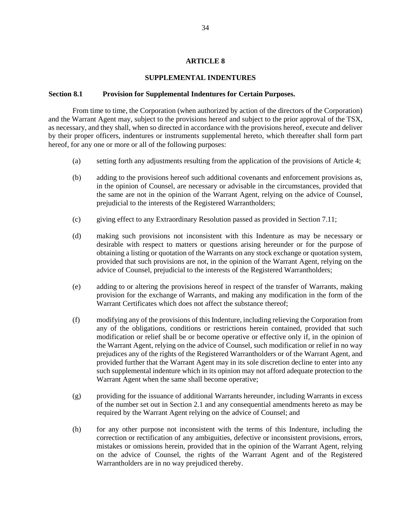## **ARTICLE 8**

### **SUPPLEMENTAL INDENTURES**

#### <span id="page-37-0"></span>**Section 8.1 Provision for Supplemental Indentures for Certain Purposes.**

From time to time, the Corporation (when authorized by action of the directors of the Corporation) and the Warrant Agent may, subject to the provisions hereof and subject to the prior approval of the TSX, as necessary, and they shall, when so directed in accordance with the provisions hereof, execute and deliver by their proper officers, indentures or instruments supplemental hereto, which thereafter shall form part hereof, for any one or more or all of the following purposes:

- (a) setting forth any adjustments resulting from the application of the provisions of [Article 4;](#page-22-1)
- (b) adding to the provisions hereof such additional covenants and enforcement provisions as, in the opinion of Counsel, are necessary or advisable in the circumstances, provided that the same are not in the opinion of the Warrant Agent, relying on the advice of Counsel, prejudicial to the interests of the Registered Warrantholders;
- (c) giving effect to any Extraordinary Resolution passed as provided in [Section 7.11;](#page-35-1)
- (d) making such provisions not inconsistent with this Indenture as may be necessary or desirable with respect to matters or questions arising hereunder or for the purpose of obtaining a listing or quotation of the Warrants on any stock exchange or quotation system, provided that such provisions are not, in the opinion of the Warrant Agent, relying on the advice of Counsel, prejudicial to the interests of the Registered Warrantholders;
- (e) adding to or altering the provisions hereof in respect of the transfer of Warrants, making provision for the exchange of Warrants, and making any modification in the form of the Warrant Certificates which does not affect the substance thereof;
- (f) modifying any of the provisions of this Indenture, including relieving the Corporation from any of the obligations, conditions or restrictions herein contained, provided that such modification or relief shall be or become operative or effective only if, in the opinion of the Warrant Agent, relying on the advice of Counsel, such modification or relief in no way prejudices any of the rights of the Registered Warrantholders or of the Warrant Agent, and provided further that the Warrant Agent may in its sole discretion decline to enter into any such supplemental indenture which in its opinion may not afford adequate protection to the Warrant Agent when the same shall become operative;
- (g) providing for the issuance of additional Warrants hereunder, including Warrants in excess of the number set out in [Section 2.1](#page-9-0) and any consequential amendments hereto as may be required by the Warrant Agent relying on the advice of Counsel; and
- (h) for any other purpose not inconsistent with the terms of this Indenture, including the correction or rectification of any ambiguities, defective or inconsistent provisions, errors, mistakes or omissions herein, provided that in the opinion of the Warrant Agent, relying on the advice of Counsel, the rights of the Warrant Agent and of the Registered Warrantholders are in no way prejudiced thereby.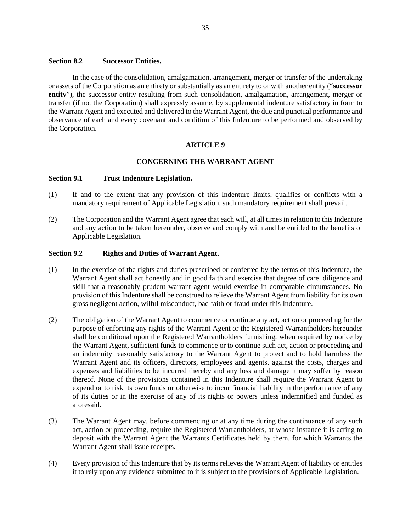# <span id="page-38-2"></span>**Section 8.2 Successor Entities.**

In the case of the consolidation, amalgamation, arrangement, merger or transfer of the undertaking or assets of the Corporation as an entirety or substantially as an entirety to or with another entity ("**successor entity**"), the successor entity resulting from such consolidation, amalgamation, arrangement, merger or transfer (if not the Corporation) shall expressly assume, by supplemental indenture satisfactory in form to the Warrant Agent and executed and delivered to the Warrant Agent, the due and punctual performance and observance of each and every covenant and condition of this Indenture to be performed and observed by the Corporation.

# **ARTICLE 9**

#### **CONCERNING THE WARRANT AGENT**

#### **Section 9.1 Trust Indenture Legislation.**

- (1) If and to the extent that any provision of this Indenture limits, qualifies or conflicts with a mandatory requirement of Applicable Legislation, such mandatory requirement shall prevail.
- (2) The Corporation and the Warrant Agent agree that each will, at all times in relation to this Indenture and any action to be taken hereunder, observe and comply with and be entitled to the benefits of Applicable Legislation.

## <span id="page-38-0"></span>**Section 9.2 Rights and Duties of Warrant Agent.**

- (1) In the exercise of the rights and duties prescribed or conferred by the terms of this Indenture, the Warrant Agent shall act honestly and in good faith and exercise that degree of care, diligence and skill that a reasonably prudent warrant agent would exercise in comparable circumstances. No provision of this Indenture shall be construed to relieve the Warrant Agent from liability for its own gross negligent action, wilful misconduct, bad faith or fraud under this Indenture.
- <span id="page-38-1"></span>(2) The obligation of the Warrant Agent to commence or continue any act, action or proceeding for the purpose of enforcing any rights of the Warrant Agent or the Registered Warrantholders hereunder shall be conditional upon the Registered Warrantholders furnishing, when required by notice by the Warrant Agent, sufficient funds to commence or to continue such act, action or proceeding and an indemnity reasonably satisfactory to the Warrant Agent to protect and to hold harmless the Warrant Agent and its officers, directors, employees and agents, against the costs, charges and expenses and liabilities to be incurred thereby and any loss and damage it may suffer by reason thereof. None of the provisions contained in this Indenture shall require the Warrant Agent to expend or to risk its own funds or otherwise to incur financial liability in the performance of any of its duties or in the exercise of any of its rights or powers unless indemnified and funded as aforesaid.
- (3) The Warrant Agent may, before commencing or at any time during the continuance of any such act, action or proceeding, require the Registered Warrantholders, at whose instance it is acting to deposit with the Warrant Agent the Warrants Certificates held by them, for which Warrants the Warrant Agent shall issue receipts.
- (4) Every provision of this Indenture that by its terms relieves the Warrant Agent of liability or entitles it to rely upon any evidence submitted to it is subject to the provisions of Applicable Legislation.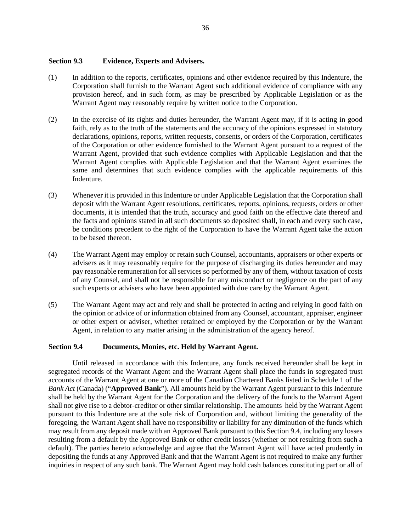# **Section 9.3 Evidence, Experts and Advisers.**

- (1) In addition to the reports, certificates, opinions and other evidence required by this Indenture, the Corporation shall furnish to the Warrant Agent such additional evidence of compliance with any provision hereof, and in such form, as may be prescribed by Applicable Legislation or as the Warrant Agent may reasonably require by written notice to the Corporation.
- (2) In the exercise of its rights and duties hereunder, the Warrant Agent may, if it is acting in good faith, rely as to the truth of the statements and the accuracy of the opinions expressed in statutory declarations, opinions, reports, written requests, consents, or orders of the Corporation, certificates of the Corporation or other evidence furnished to the Warrant Agent pursuant to a request of the Warrant Agent, provided that such evidence complies with Applicable Legislation and that the Warrant Agent complies with Applicable Legislation and that the Warrant Agent examines the same and determines that such evidence complies with the applicable requirements of this Indenture.
- (3) Whenever it is provided in this Indenture or under Applicable Legislation that the Corporation shall deposit with the Warrant Agent resolutions, certificates, reports, opinions, requests, orders or other documents, it is intended that the truth, accuracy and good faith on the effective date thereof and the facts and opinions stated in all such documents so deposited shall, in each and every such case, be conditions precedent to the right of the Corporation to have the Warrant Agent take the action to be based thereon.
- (4) The Warrant Agent may employ or retain such Counsel, accountants, appraisers or other experts or advisers as it may reasonably require for the purpose of discharging its duties hereunder and may pay reasonable remuneration for all services so performed by any of them, without taxation of costs of any Counsel, and shall not be responsible for any misconduct or negligence on the part of any such experts or advisers who have been appointed with due care by the Warrant Agent.
- (5) The Warrant Agent may act and rely and shall be protected in acting and relying in good faith on the opinion or advice of or information obtained from any Counsel, accountant, appraiser, engineer or other expert or adviser, whether retained or employed by the Corporation or by the Warrant Agent, in relation to any matter arising in the administration of the agency hereof.

#### <span id="page-39-0"></span>**Section 9.4 Documents, Monies, etc. Held by Warrant Agent.**

Until released in accordance with this Indenture, any funds received hereunder shall be kept in segregated records of the Warrant Agent and the Warrant Agent shall place the funds in segregated trust accounts of the Warrant Agent at one or more of the Canadian Chartered Banks listed in Schedule 1 of the *Bank Act* (Canada) ("**Approved Bank**"). All amounts held by the Warrant Agent pursuant to this Indenture shall be held by the Warrant Agent for the Corporation and the delivery of the funds to the Warrant Agent shall not give rise to a debtor-creditor or other similar relationship. The amounts held by the Warrant Agent pursuant to this Indenture are at the sole risk of Corporation and, without limiting the generality of the foregoing, the Warrant Agent shall have no responsibility or liability for any diminution of the funds which may result from any deposit made with an Approved Bank pursuant to thi[s Section 9.4,](#page-39-0) including any losses resulting from a default by the Approved Bank or other credit losses (whether or not resulting from such a default). The parties hereto acknowledge and agree that the Warrant Agent will have acted prudently in depositing the funds at any Approved Bank and that the Warrant Agent is not required to make any further inquiries in respect of any such bank. The Warrant Agent may hold cash balances constituting part or all of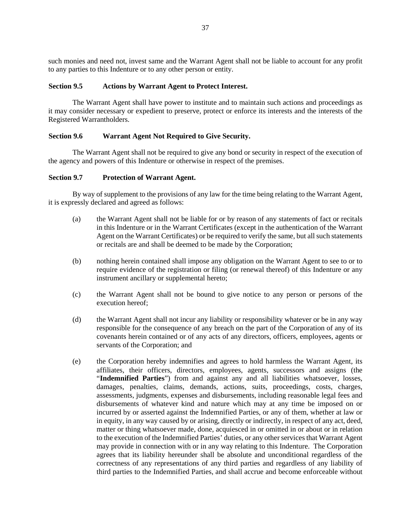such monies and need not, invest same and the Warrant Agent shall not be liable to account for any profit to any parties to this Indenture or to any other person or entity.

### **Section 9.5 Actions by Warrant Agent to Protect Interest.**

The Warrant Agent shall have power to institute and to maintain such actions and proceedings as it may consider necessary or expedient to preserve, protect or enforce its interests and the interests of the Registered Warrantholders.

# **Section 9.6 Warrant Agent Not Required to Give Security.**

The Warrant Agent shall not be required to give any bond or security in respect of the execution of the agency and powers of this Indenture or otherwise in respect of the premises.

## **Section 9.7 Protection of Warrant Agent.**

By way of supplement to the provisions of any law for the time being relating to the Warrant Agent, it is expressly declared and agreed as follows:

- (a) the Warrant Agent shall not be liable for or by reason of any statements of fact or recitals in this Indenture or in the Warrant Certificates (except in the authentication of the Warrant Agent on the Warrant Certificates) or be required to verify the same, but all such statements or recitals are and shall be deemed to be made by the Corporation;
- (b) nothing herein contained shall impose any obligation on the Warrant Agent to see to or to require evidence of the registration or filing (or renewal thereof) of this Indenture or any instrument ancillary or supplemental hereto;
- (c) the Warrant Agent shall not be bound to give notice to any person or persons of the execution hereof;
- (d) the Warrant Agent shall not incur any liability or responsibility whatever or be in any way responsible for the consequence of any breach on the part of the Corporation of any of its covenants herein contained or of any acts of any directors, officers, employees, agents or servants of the Corporation; and
- (e) the Corporation hereby indemnifies and agrees to hold harmless the Warrant Agent, its affiliates, their officers, directors, employees, agents, successors and assigns (the "**Indemnified Parties**") from and against any and all liabilities whatsoever, losses, damages, penalties, claims, demands, actions, suits, proceedings, costs, charges, assessments, judgments, expenses and disbursements, including reasonable legal fees and disbursements of whatever kind and nature which may at any time be imposed on or incurred by or asserted against the Indemnified Parties, or any of them, whether at law or in equity, in any way caused by or arising, directly or indirectly, in respect of any act, deed, matter or thing whatsoever made, done, acquiesced in or omitted in or about or in relation to the execution of the Indemnified Parties' duties, or any other services that Warrant Agent may provide in connection with or in any way relating to this Indenture. The Corporation agrees that its liability hereunder shall be absolute and unconditional regardless of the correctness of any representations of any third parties and regardless of any liability of third parties to the Indemnified Parties, and shall accrue and become enforceable without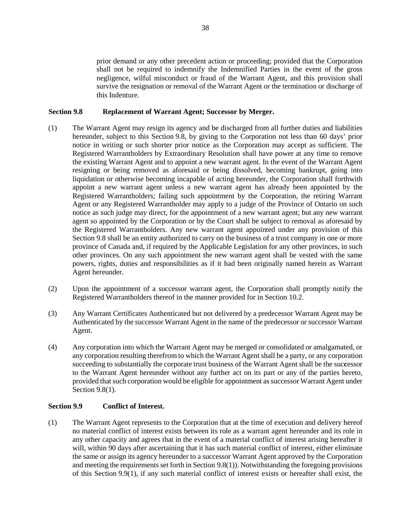prior demand or any other precedent action or proceeding; provided that the Corporation shall not be required to indemnify the Indemnified Parties in the event of the gross negligence, wilful misconduct or fraud of the Warrant Agent, and this provision shall survive the resignation or removal of the Warrant Agent or the termination or discharge of this Indenture.

### <span id="page-41-0"></span>**Section 9.8 Replacement of Warrant Agent; Successor by Merger.**

- <span id="page-41-1"></span>(1) The Warrant Agent may resign its agency and be discharged from all further duties and liabilities hereunder, subject to this [Section 9.8,](#page-41-0) by giving to the Corporation not less than 60 days' prior notice in writing or such shorter prior notice as the Corporation may accept as sufficient. The Registered Warrantholders by Extraordinary Resolution shall have power at any time to remove the existing Warrant Agent and to appoint a new warrant agent. In the event of the Warrant Agent resigning or being removed as aforesaid or being dissolved, becoming bankrupt, going into liquidation or otherwise becoming incapable of acting hereunder, the Corporation shall forthwith appoint a new warrant agent unless a new warrant agent has already been appointed by the Registered Warrantholders; failing such appointment by the Corporation, the retiring Warrant Agent or any Registered Warrantholder may apply to a judge of the Province of Ontario on such notice as such judge may direct, for the appointment of a new warrant agent; but any new warrant agent so appointed by the Corporation or by the Court shall be subject to removal as aforesaid by the Registered Warrantholders. Any new warrant agent appointed under any provision of this [Section 9.8](#page-41-0) shall be an entity authorized to carry on the business of a trust company in one or more province of Canada and, if required by the Applicable Legislation for any other provinces, in such other provinces. On any such appointment the new warrant agent shall be vested with the same powers, rights, duties and responsibilities as if it had been originally named herein as Warrant Agent hereunder.
- (2) Upon the appointment of a successor warrant agent, the Corporation shall promptly notify the Registered Warrantholders thereof in the manner provided for in [Section 10.2.](#page-45-0)
- (3) Any Warrant Certificates Authenticated but not delivered by a predecessor Warrant Agent may be Authenticated by the successor Warrant Agent in the name of the predecessor or successor Warrant Agent.
- (4) Any corporation into which the Warrant Agent may be merged or consolidated or amalgamated, or any corporation resulting therefrom to which the Warrant Agent shall be a party, or any corporation succeeding to substantially the corporate trust business of the Warrant Agent shall be the suc**c**essor to the Warrant Agent hereunder without any further act on its part or any of the parties hereto, provided that such corporation would be eligible for appointment as successor Warrant Agent under [Section 9.8\(1\).](#page-41-1)

# **Section 9.9 Conflict of Interest.**

<span id="page-41-2"></span>(1) The Warrant Agent represents to the Corporation that at the time of execution and delivery hereof no material conflict of interest exists between its role as a warrant agent hereunder and its role in any other capacity and agrees that in the event of a material conflict of interest arising hereafter it will, within 90 days after ascertaining that it has such material conflict of interest, either eliminate the same or assign its agency hereunder to a successor Warrant Agent approved by the Corporation and meeting the requirements set forth i[n Section 9.8\(1\)\)](#page-41-1). Notwithstanding the foregoing provisions of this [Section 9.9\(1\),](#page-41-2) if any such material conflict of interest exists or hereafter shall exist, the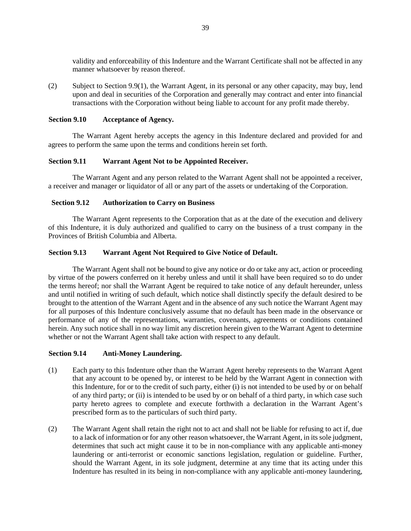validity and enforceability of this Indenture and the Warrant Certificate shall not be affected in any manner whatsoever by reason thereof.

(2) Subject to [Section 9.9\(1\),](#page-41-2) the Warrant Agent, in its personal or any other capacity, may buy, lend upon and deal in securities of the Corporation and generally may contract and enter into financial transactions with the Corporation without being liable to account for any profit made thereby.

### **Section 9.10 Acceptance of Agency.**

The Warrant Agent hereby accepts the agency in this Indenture declared and provided for and agrees to perform the same upon the terms and conditions herein set forth.

## **Section 9.11 Warrant Agent Not to be Appointed Receiver.**

The Warrant Agent and any person related to the Warrant Agent shall not be appointed a receiver, a receiver and manager or liquidator of all or any part of the assets or undertaking of the Corporation.

## **Section 9.12 Authorization to Carry on Business**

The Warrant Agent represents to the Corporation that as at the date of the execution and delivery of this Indenture, it is duly authorized and qualified to carry on the business of a trust company in the Provinces of British Columbia and Alberta.

## **Section 9.13 Warrant Agent Not Required to Give Notice of Default.**

The Warrant Agent shall not be bound to give any notice or do or take any act, action or proceeding by virtue of the powers conferred on it hereby unless and until it shall have been required so to do under the terms hereof; nor shall the Warrant Agent be required to take notice of any default hereunder, unless and until notified in writing of such default, which notice shall distinctly specify the default desired to be brought to the attention of the Warrant Agent and in the absence of any such notice the Warrant Agent may for all purposes of this Indenture conclusively assume that no default has been made in the observance or performance of any of the representations, warranties, covenants, agreements or conditions contained herein. Any such notice shall in no way limit any discretion herein given to the Warrant Agent to determine whether or not the Warrant Agent shall take action with respect to any default.

#### **Section 9.14 Anti-Money Laundering.**

- (1) Each party to this Indenture other than the Warrant Agent hereby represents to the Warrant Agent that any account to be opened by, or interest to be held by the Warrant Agent in connection with this Indenture, for or to the credit of such party, either (i) is not intended to be used by or on behalf of any third party; or (ii) is intended to be used by or on behalf of a third party, in which case such party hereto agrees to complete and execute forthwith a declaration in the Warrant Agent's prescribed form as to the particulars of such third party.
- (2) The Warrant Agent shall retain the right not to act and shall not be liable for refusing to act if, due to a lack of information or for any other reason whatsoever, the Warrant Agent, in its sole judgment, determines that such act might cause it to be in non-compliance with any applicable anti-money laundering or anti-terrorist or economic sanctions legislation, regulation or guideline. Further, should the Warrant Agent, in its sole judgment, determine at any time that its acting under this Indenture has resulted in its being in non-compliance with any applicable anti-money laundering,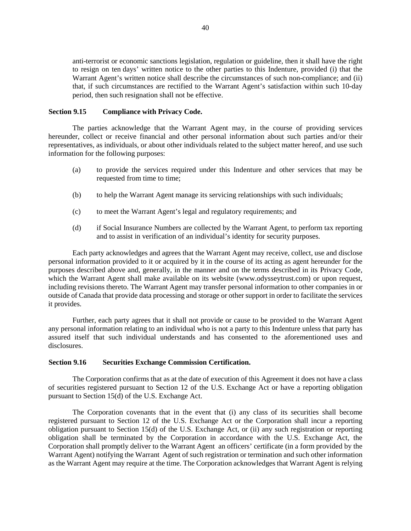anti-terrorist or economic sanctions legislation, regulation or guideline, then it shall have the right to resign on ten days' written notice to the other parties to this Indenture, provided (i) that the Warrant Agent's written notice shall describe the circumstances of such non-compliance; and (ii) that, if such circumstances are rectified to the Warrant Agent's satisfaction within such 10-day period, then such resignation shall not be effective.

#### **Section 9.15 Compliance with Privacy Code.**

The parties acknowledge that the Warrant Agent may, in the course of providing services hereunder, collect or receive financial and other personal information about such parties and/or their representatives, as individuals, or about other individuals related to the subject matter hereof, and use such information for the following purposes:

- (a) to provide the services required under this Indenture and other services that may be requested from time to time;
- (b) to help the Warrant Agent manage its servicing relationships with such individuals;
- (c) to meet the Warrant Agent's legal and regulatory requirements; and
- (d) if Social Insurance Numbers are collected by the Warrant Agent, to perform tax reporting and to assist in verification of an individual's identity for security purposes.

Each party acknowledges and agrees that the Warrant Agent may receive, collect, use and disclose personal information provided to it or acquired by it in the course of its acting as agent hereunder for the purposes described above and, generally, in the manner and on the terms described in its Privacy Code, which the Warrant Agent shall make available on its website (www.odysseytrust.com) or upon request, including revisions thereto. The Warrant Agent may transfer personal information to other companies in or outside of Canada that provide data processing and storage or other support in order to facilitate the services it provides.

Further, each party agrees that it shall not provide or cause to be provided to the Warrant Agent any personal information relating to an individual who is not a party to this Indenture unless that party has assured itself that such individual understands and has consented to the aforementioned uses and disclosures.

# **Section 9.16 Securities Exchange Commission Certification.**

The Corporation confirms that as at the date of execution of this Agreement it does not have a class of securities registered pursuant to Section 12 of the U.S. Exchange Act or have a reporting obligation pursuant to Section 15(d) of the U.S. Exchange Act.

The Corporation covenants that in the event that (i) any class of its securities shall become registered pursuant to Section 12 of the U.S. Exchange Act or the Corporation shall incur a reporting obligation pursuant to Section 15(d) of the U.S. Exchange Act, or (ii) any such registration or reporting obligation shall be terminated by the Corporation in accordance with the U.S. Exchange Act, the Corporation shall promptly deliver to the Warrant Agent an officers' certificate (in a form provided by the Warrant Agent) notifying the Warrant Agent of such registration or termination and such other information as the Warrant Agent may require at the time. The Corporation acknowledges that Warrant Agent is relying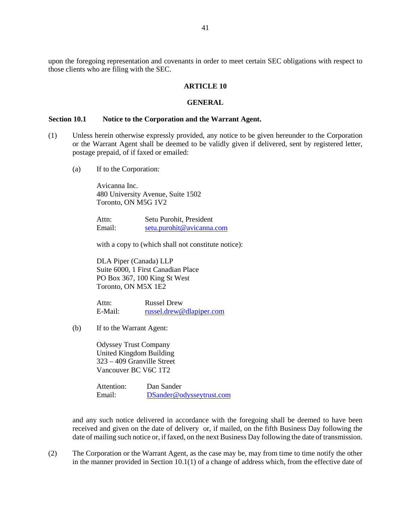upon the foregoing representation and covenants in order to meet certain SEC obligations with respect to those clients who are filing with the SEC.

#### **ARTICLE 10**

#### **GENERAL**

# **Section 10.1 Notice to the Corporation and the Warrant Agent.**

- <span id="page-44-0"></span>(1) Unless herein otherwise expressly provided, any notice to be given hereunder to the Corporation or the Warrant Agent shall be deemed to be validly given if delivered, sent by registered letter, postage prepaid, of if faxed or emailed:
	- (a) If to the Corporation:

Avicanna Inc. 480 University Avenue, Suite 1502 Toronto, ON M5G 1V2

Attn: Setu Purohit, President Email: [setu.purohit@avicanna.com](mailto:setu.purohit@avicanna.com) 

with a copy to (which shall not constitute notice):

DLA Piper (Canada) LLP Suite 6000, 1 First Canadian Place PO Box 367, 100 King St West Toronto, ON M5X 1E2

Attn: Russel Drew E-Mail: [russel.drew@dlapiper.com](mailto:russel.drew@dlapiper.com)

(b) If to the Warrant Agent:

Odyssey Trust Company United Kingdom Building 323 – 409 Granville Street Vancouver BC V6C 1T2

Attention: Dan Sander Email: [DSander@odysseytrust.com](mailto:DSander@odysseytrust.com) 

and any such notice delivered in accordance with the foregoing shall be deemed to have been received and given on the date of delivery or, if mailed, on the fifth Business Day following the date of mailing such notice or, if faxed, on the next Business Day following the date of transmission.

(2) The Corporation or the Warrant Agent, as the case may be, may from time to time notify the other in the manner provided in [Section 10.1\(1\)](#page-44-0) of a change of address which, from the effective date of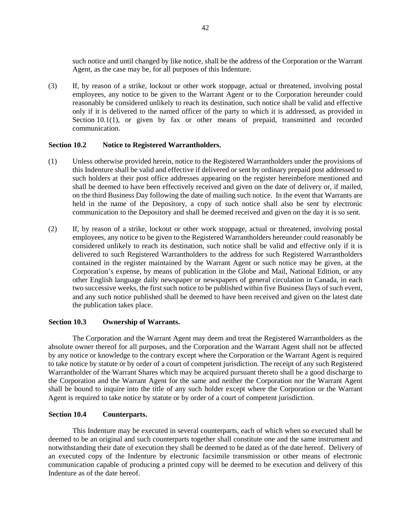such notice and until changed by like notice, shall be the address of the Corporation or the Warrant Agent, as the case may be, for all purposes of this Indenture.

(3) If, by reason of a strike, lockout or other work stoppage, actual or threatened, involving postal employees, any notice to be given to the Warrant Agent or to the Corporation hereunder could reasonably be considered unlikely to reach its destination, such notice shall be valid and effective only if it is delivered to the named officer of the party to which it is addressed, as provided in [Section 10.1\(1\),](#page-44-0) or given by fax or other means of prepaid, transmitted and recorded communication.

#### <span id="page-45-0"></span>**Section 10.2 Notice to Registered Warrantholders.**

- (1) Unless otherwise provided herein, notice to the Registered Warrantholders under the provisions of this Indenture shall be valid and effective if delivered or sent by ordinary prepaid post addressed to such holders at their post office addresses appearing on the register hereinbefore mentioned and shall be deemed to have been effectively received and given on the date of delivery or, if mailed, on the third Business Day following the date of mailing such notice. In the event that Warrants are held in the name of the Depository, a copy of such notice shall also be sent by electronic communication to the Depository and shall be deemed received and given on the day it is so sent.
- (2) If, by reason of a strike, lockout or other work stoppage, actual or threatened, involving postal employees, any notice to be given to the Registered Warrantholders hereunder could reasonably be considered unlikely to reach its destination, such notice shall be valid and effective only if it is delivered to such Registered Warrantholders to the address for such Registered Warrantholders contained in the register maintained by the Warrant Agent or such notice may be given, at the Corporation's expense, by means of publication in the Globe and Mail, National Edition, or any other English language daily newspaper or newspapers of general circulation in Canada, in each two successive weeks, the first such notice to be published within five Business Days of such event, and any such notice published shall be deemed to have been received and given on the latest date the publication takes place.

#### **Section 10.3 Ownership of Warrants.**

The Corporation and the Warrant Agent may deem and treat the Registered Warrantholders as the absolute owner thereof for all purposes, and the Corporation and the Warrant Agent shall not be affected by any notice or knowledge to the contrary except where the Corporation or the Warrant Agent is required to take notice by statute or by order of a court of competent jurisdiction. The receipt of any such Registered Warrantholder of the Warrant Shares which may be acquired pursuant thereto shall be a good discharge to the Corporation and the Warrant Agent for the same and neither the Corporation nor the Warrant Agent shall be bound to inquire into the title of any such holder except where the Corporation or the Warrant Agent is required to take notice by statute or by order of a court of competent jurisdiction.

# **Section 10.4 Counterparts.**

This Indenture may be executed in several counterparts, each of which when so executed shall be deemed to be an original and such counterparts together shall constitute one and the same instrument and notwithstanding their date of execution they shall be deemed to be dated as of the date hereof. Delivery of an executed copy of the Indenture by electronic facsimile transmission or other means of electronic communication capable of producing a printed copy will be deemed to be execution and delivery of this Indenture as of the date hereof.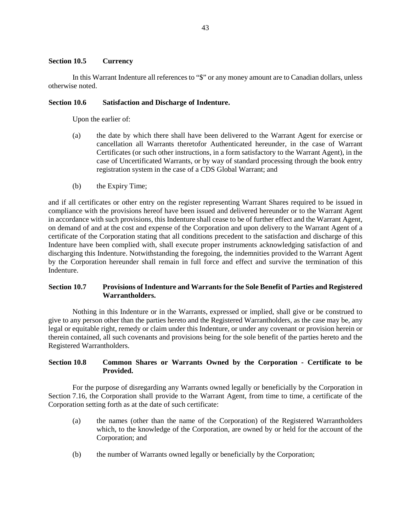# **Section 10.5 Currency**

In this Warrant Indenture all references to "\$" or any money amount are to Canadian dollars, unless otherwise noted.

# **Section 10.6 Satisfaction and Discharge of Indenture.**

Upon the earlier of:

- (a) the date by which there shall have been delivered to the Warrant Agent for exercise or cancellation all Warrants theretofor Authenticated hereunder, in the case of Warrant Certificates (or such other instructions, in a form satisfactory to the Warrant Agent), in the case of Uncertificated Warrants, or by way of standard processing through the book entry registration system in the case of a CDS Global Warrant; and
- (b) the Expiry Time;

and if all certificates or other entry on the register representing Warrant Shares required to be issued in compliance with the provisions hereof have been issued and delivered hereunder or to the Warrant Agent in accordance with such provisions, this Indenture shall cease to be of further effect and the Warrant Agent, on demand of and at the cost and expense of the Corporation and upon delivery to the Warrant Agent of a certificate of the Corporation stating that all conditions precedent to the satisfaction and discharge of this Indenture have been complied with, shall execute proper instruments acknowledging satisfaction of and discharging this Indenture. Notwithstanding the foregoing, the indemnities provided to the Warrant Agent by the Corporation hereunder shall remain in full force and effect and survive the termination of this Indenture.

# **Section 10.7 Provisions of Indenture and Warrants for the Sole Benefit of Parties and Registered Warrantholders.**

Nothing in this Indenture or in the Warrants, expressed or implied, shall give or be construed to give to any person other than the parties hereto and the Registered Warrantholders, as the case may be, any legal or equitable right, remedy or claim under this Indenture, or under any covenant or provision herein or therein contained, all such covenants and provisions being for the sole benefit of the parties hereto and the Registered Warrantholders.

# <span id="page-46-0"></span>**Section 10.8 Common Shares or Warrants Owned by the Corporation - Certificate to be Provided.**

For the purpose of disregarding any Warrants owned legally or beneficially by the Corporation in [Section 7.16,](#page-36-1) the Corporation shall provide to the Warrant Agent, from time to time, a certificate of the Corporation setting forth as at the date of such certificate:

- (a) the names (other than the name of the Corporation) of the Registered Warrantholders which, to the knowledge of the Corporation, are owned by or held for the account of the Corporation; and
- (b) the number of Warrants owned legally or beneficially by the Corporation;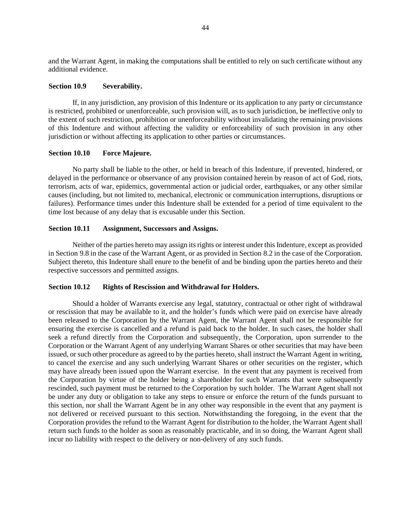and the Warrant Agent, in making the computations shall be entitled to rely on such certificate without any additional evidence.

### **Section 10.9 Severability.**

If, in any jurisdiction, any provision of this Indenture or its application to any party or circumstance is restricted, prohibited or unenforceable, such provision will, as to such jurisdiction, be ineffective only to the extent of such restriction, prohibition or unenforceability without invalidating the remaining provisions of this Indenture and without affecting the validity or enforceability of such provision in any other jurisdiction or without affecting its application to other parties or circumstances.

#### **Section 10.10 Force Majeure.**

No party shall be liable to the other, or held in breach of this Indenture, if prevented, hindered, or delayed in the performance or observance of any provision contained herein by reason of act of God, riots, terrorism, acts of war, epidemics, governmental action or judicial order, earthquakes, or any other similar causes (including, but not limited to, mechanical, electronic or communication interruptions, disruptions or failures). Performance times under this Indenture shall be extended for a period of time equivalent to the time lost because of any delay that is excusable under this Section.

#### **Section 10.11 Assignment, Successors and Assigns.**

Neither of the parties hereto may assign its rights or interest under this Indenture, except as provided in [Section 9.8 i](#page-41-0)n the case of the Warrant Agent, or as provided i[n Section 8.2](#page-38-2) in the case of the Corporation. Subject thereto, this Indenture shall enure to the benefit of and be binding upon the parties hereto and their respective successors and permitted assigns.

## **Section 10.12 Rights of Rescission and Withdrawal for Holders.**

Should a holder of Warrants exercise any legal, statutory, contractual or other right of withdrawal or rescission that may be available to it, and the holder's funds which were paid on exercise have already been released to the Corporation by the Warrant Agent, the Warrant Agent shall not be responsible for ensuring the exercise is cancelled and a refund is paid back to the holder. In such cases, the holder shall seek a refund directly from the Corporation and subsequently, the Corporation, upon surrender to the Corporation or the Warrant Agent of any underlying Warrant Shares or other securities that may have been issued, or such other procedure as agreed to by the parties hereto, shall instruct the Warrant Agent in writing, to cancel the exercise and any such underlying Warrant Shares or other securities on the register, which may have already been issued upon the Warrant exercise. In the event that any payment is received from the Corporation by virtue of the holder being a shareholder for such Warrants that were subsequently rescinded, such payment must be returned to the Corporation by such holder. The Warrant Agent shall not be under any duty or obligation to take any steps to ensure or enforce the return of the funds pursuant to this section, nor shall the Warrant Agent be in any other way responsible in the event that any payment is not delivered or received pursuant to this section. Notwithstanding the foregoing, in the event that the Corporation provides the refund to the Warrant Agent for distribution to the holder, the Warrant Agent shall return such funds to the holder as soon as reasonably practicable, and in so doing, the Warrant Agent shall incur no liability with respect to the delivery or non-delivery of any such funds.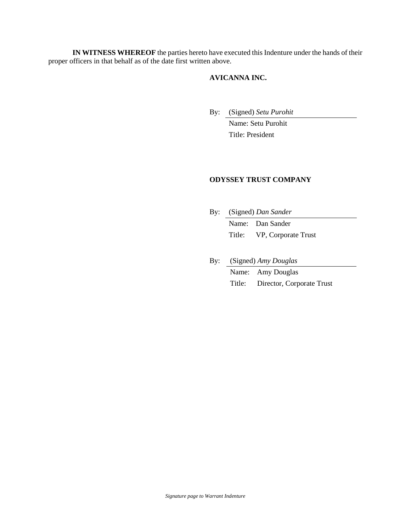**IN WITNESS WHEREOF** the parties hereto have executed this Indenture under the hands of their proper officers in that behalf as of the date first written above.

# **AVICANNA INC.**

By: (Signed) *Setu Purohit* 

Name: Setu Purohit Title: President

# **ODYSSEY TRUST COMPANY**

- By: (Signed) *Dan Sander*  Name: Dan Sander Title: VP, Corporate Trust
- By: (Signed) *Amy Douglas*  Name: Amy Douglas Title: Director, Corporate Trust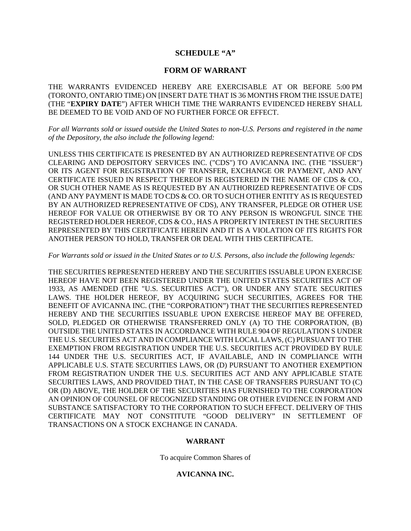# **SCHEDULE "A"**

# **FORM OF WARRANT**

THE WARRANTS EVIDENCED HEREBY ARE EXERCISABLE AT OR BEFORE 5:00 PM (TORONTO, ONTARIO TIME) ON [INSERT DATE THAT IS 36 MONTHS FROM THE ISSUE DATE] (THE "**EXPIRY DATE**") AFTER WHICH TIME THE WARRANTS EVIDENCED HEREBY SHALL BE DEEMED TO BE VOID AND OF NO FURTHER FORCE OR EFFECT.

*For all Warrants sold or issued outside the United States to non-U.S. Persons and registered in the name of the Depository, the also include the following legend:* 

UNLESS THIS CERTIFICATE IS PRESENTED BY AN AUTHORIZED REPRESENTATIVE OF CDS CLEARING AND DEPOSITORY SERVICES INC. ("CDS") TO AVICANNA INC. (THE "ISSUER") OR ITS AGENT FOR REGISTRATION OF TRANSFER, EXCHANGE OR PAYMENT, AND ANY CERTIFICATE ISSUED IN RESPECT THEREOF IS REGISTERED IN THE NAME OF CDS & CO., OR SUCH OTHER NAME AS IS REQUESTED BY AN AUTHORIZED REPRESENTATIVE OF CDS (AND ANY PAYMENT IS MADE TO CDS & CO. OR TO SUCH OTHER ENTITY AS IS REQUESTED BY AN AUTHORIZED REPRESENTATIVE OF CDS), ANY TRANSFER, PLEDGE OR OTHER USE HEREOF FOR VALUE OR OTHERWISE BY OR TO ANY PERSON IS WRONGFUL SINCE THE REGISTERED HOLDER HEREOF, CDS & CO., HAS A PROPERTY INTEREST IN THE SECURITIES REPRESENTED BY THIS CERTIFICATE HEREIN AND IT IS A VIOLATION OF ITS RIGHTS FOR ANOTHER PERSON TO HOLD, TRANSFER OR DEAL WITH THIS CERTIFICATE.

#### *For Warrants sold or issued in the United States or to U.S. Persons, also include the following legends:*

THE SECURITIES REPRESENTED HEREBY AND THE SECURITIES ISSUABLE UPON EXERCISE HEREOF HAVE NOT BEEN REGISTERED UNDER THE UNITED STATES SECURITIES ACT OF 1933, AS AMENDED (THE "U.S. SECURITIES ACT"), OR UNDER ANY STATE SECURITIES LAWS. THE HOLDER HEREOF, BY ACQUIRING SUCH SECURITIES, AGREES FOR THE BENEFIT OF AVICANNA INC. (THE "CORPORATION") THAT THE SECURITIES REPRESENTED HEREBY AND THE SECURITIES ISSUABLE UPON EXERCISE HEREOF MAY BE OFFERED, SOLD, PLEDGED OR OTHERWISE TRANSFERRED ONLY (A) TO THE CORPORATION, (B) OUTSIDE THE UNITED STATES IN ACCORDANCE WITH RULE 904 OF REGULATION S UNDER THE U.S. SECURITIES ACT AND IN COMPLIANCE WITH LOCAL LAWS, (C) PURSUANT TO THE EXEMPTION FROM REGISTRATION UNDER THE U.S. SECURITIES ACT PROVIDED BY RULE 144 UNDER THE U.S. SECURITIES ACT, IF AVAILABLE, AND IN COMPLIANCE WITH APPLICABLE U.S. STATE SECURITIES LAWS, OR (D) PURSUANT TO ANOTHER EXEMPTION FROM REGISTRATION UNDER THE U.S. SECURITIES ACT AND ANY APPLICABLE STATE SECURITIES LAWS, AND PROVIDED THAT, IN THE CASE OF TRANSFERS PURSUANT TO (C) OR (D) ABOVE, THE HOLDER OF THE SECURITIES HAS FURNISHED TO THE CORPORATION AN OPINION OF COUNSEL OF RECOGNIZED STANDING OR OTHER EVIDENCE IN FORM AND SUBSTANCE SATISFACTORY TO THE CORPORATION TO SUCH EFFECT. DELIVERY OF THIS CERTIFICATE MAY NOT CONSTITUTE "GOOD DELIVERY" IN SETTLEMENT OF TRANSACTIONS ON A STOCK EXCHANGE IN CANADA.

#### **WARRANT**

To acquire Common Shares of

# **AVICANNA INC.**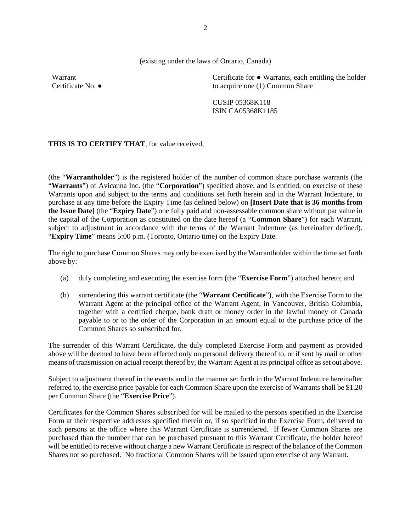(existing under the laws of Ontario, Canada)

Warrant Certificate No. **●** Certificate for **●** Warrants, each entitling the holder to acquire one (1) Common Share

CUSIP 05368K118 ISIN CA05368K1185

**THIS IS TO CERTIFY THAT**, for value received,

(the "**Warrantholder**") is the registered holder of the number of common share purchase warrants (the "**Warrants**") of Avicanna Inc. (the "**Corporation**") specified above, and is entitled, on exercise of these Warrants upon and subject to the terms and conditions set forth herein and in the Warrant Indenture, to purchase at any time before the Expiry Time (as defined below) on **[Insert Date that is 36 months from the Issue Date]** (the "**Expiry Date**") one fully paid and non-assessable common share without par value in the capital of the Corporation as constituted on the date hereof (a "**Common Share**") for each Warrant, subject to adjustment in accordance with the terms of the Warrant Indenture (as hereinafter defined). "**Expiry Time**" means 5:00 p.m. (Toronto, Ontario time) on the Expiry Date.

The right to purchase Common Shares may only be exercised by the Warrantholder within the time set forth above by:

- (a) duly completing and executing the exercise form (the "**Exercise Form**") attached hereto; and
- (b) surrendering this warrant certificate (the "**Warrant Certificate**"), with the Exercise Form to the Warrant Agent at the principal office of the Warrant Agent, in Vancouver, British Columbia, together with a certified cheque, bank draft or money order in the lawful money of Canada payable to or to the order of the Corporation in an amount equal to the purchase price of the Common Shares so subscribed for.

The surrender of this Warrant Certificate, the duly completed Exercise Form and payment as provided above will be deemed to have been effected only on personal delivery thereof to, or if sent by mail or other means of transmission on actual receipt thereof by, the Warrant Agent at its principal office as set out above.

Subject to adjustment thereof in the events and in the manner set forth in the Warrant Indenture hereinafter referred to, the exercise price payable for each Common Share upon the exercise of Warrants shall be \$1.20 per Common Share (the "**Exercise Price**").

Certificates for the Common Shares subscribed for will be mailed to the persons specified in the Exercise Form at their respective addresses specified therein or, if so specified in the Exercise Form, delivered to such persons at the office where this Warrant Certificate is surrendered. If fewer Common Shares are purchased than the number that can be purchased pursuant to this Warrant Certificate, the holder hereof will be entitled to receive without charge a new Warrant Certificate in respect of the balance of the Common Shares not so purchased. No fractional Common Shares will be issued upon exercise of any Warrant.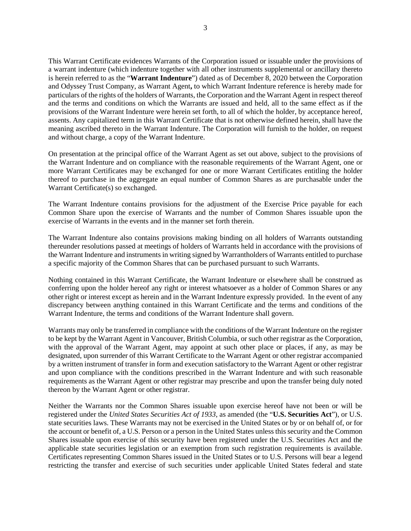This Warrant Certificate evidences Warrants of the Corporation issued or issuable under the provisions of a warrant indenture (which indenture together with all other instruments supplemental or ancillary thereto is herein referred to as the "**Warrant Indenture**") dated as of December 8, 2020 between the Corporation and Odyssey Trust Company, as Warrant Agent**,** to which Warrant Indenture reference is hereby made for particulars of the rights of the holders of Warrants, the Corporation and the Warrant Agent in respect thereof and the terms and conditions on which the Warrants are issued and held, all to the same effect as if the provisions of the Warrant Indenture were herein set forth, to all of which the holder, by acceptance hereof, assents. Any capitalized term in this Warrant Certificate that is not otherwise defined herein, shall have the meaning ascribed thereto in the Warrant Indenture. The Corporation will furnish to the holder, on request and without charge, a copy of the Warrant Indenture.

On presentation at the principal office of the Warrant Agent as set out above, subject to the provisions of the Warrant Indenture and on compliance with the reasonable requirements of the Warrant Agent, one or more Warrant Certificates may be exchanged for one or more Warrant Certificates entitling the holder thereof to purchase in the aggregate an equal number of Common Shares as are purchasable under the Warrant Certificate(s) so exchanged.

The Warrant Indenture contains provisions for the adjustment of the Exercise Price payable for each Common Share upon the exercise of Warrants and the number of Common Shares issuable upon the exercise of Warrants in the events and in the manner set forth therein.

The Warrant Indenture also contains provisions making binding on all holders of Warrants outstanding thereunder resolutions passed at meetings of holders of Warrants held in accordance with the provisions of the Warrant Indenture and instruments in writing signed by Warrantholders of Warrants entitled to purchase a specific majority of the Common Shares that can be purchased pursuant to such Warrants.

Nothing contained in this Warrant Certificate, the Warrant Indenture or elsewhere shall be construed as conferring upon the holder hereof any right or interest whatsoever as a holder of Common Shares or any other right or interest except as herein and in the Warrant Indenture expressly provided. In the event of any discrepancy between anything contained in this Warrant Certificate and the terms and conditions of the Warrant Indenture, the terms and conditions of the Warrant Indenture shall govern.

Warrants may only be transferred in compliance with the conditions of the Warrant Indenture on the register to be kept by the Warrant Agent in Vancouver, British Columbia, or such other registrar as the Corporation, with the approval of the Warrant Agent, may appoint at such other place or places, if any, as may be designated, upon surrender of this Warrant Certificate to the Warrant Agent or other registrar accompanied by a written instrument of transfer in form and execution satisfactory to the Warrant Agent or other registrar and upon compliance with the conditions prescribed in the Warrant Indenture and with such reasonable requirements as the Warrant Agent or other registrar may prescribe and upon the transfer being duly noted thereon by the Warrant Agent or other registrar.

Neither the Warrants nor the Common Shares issuable upon exercise hereof have not been or will be registered under the *United States Securities Act of 1933*, as amended (the "**U.S. Securities Act**"), or U.S. state securities laws. These Warrants may not be exercised in the United States or by or on behalf of, or for the account or benefit of, a U.S. Person or a person in the United States unless this security and the Common Shares issuable upon exercise of this security have been registered under the U.S. Securities Act and the applicable state securities legislation or an exemption from such registration requirements is available. Certificates representing Common Shares issued in the United States or to U.S. Persons will bear a legend restricting the transfer and exercise of such securities under applicable United States federal and state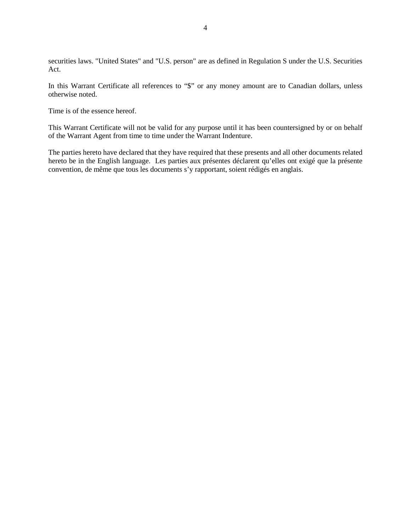securities laws. "United States" and "U.S. person" are as defined in Regulation S under the U.S. Securities Act.

In this Warrant Certificate all references to "\$" or any money amount are to Canadian dollars, unless otherwise noted.

Time is of the essence hereof.

This Warrant Certificate will not be valid for any purpose until it has been countersigned by or on behalf of the Warrant Agent from time to time under the Warrant Indenture.

The parties hereto have declared that they have required that these presents and all other documents related hereto be in the English language. Les parties aux présentes déclarent qu'elles ont exigé que la présente convention, de même que tous les documents s'y rapportant, soient rédigés en anglais.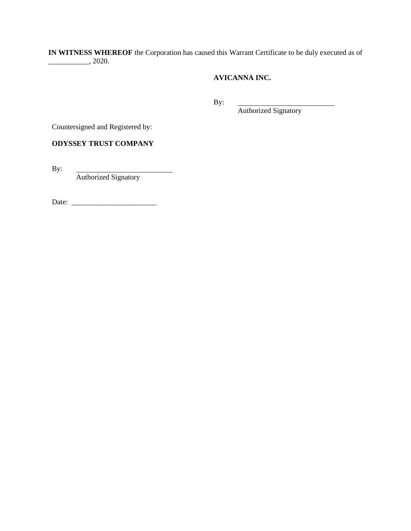**IN WITNESS WHEREOF** the Corporation has caused this Warrant Certificate to be duly executed as of \_\_\_\_\_\_\_\_\_\_\_, 2020.

# **AVICANNA INC.**

By:

Authorized Signatory

Countersigned and Registered by:

**ODYSSEY TRUST COMPANY** 

By:

Authorized Signatory

Date: \_\_\_\_\_\_\_\_\_\_\_\_\_\_\_\_\_\_\_\_\_\_\_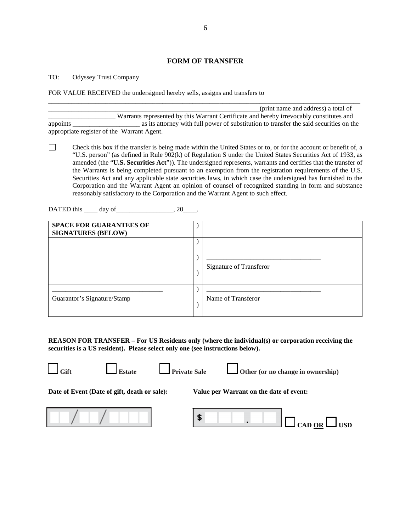## **FORM OF TRANSFER**

#### TO: Odyssey Trust Company

FOR VALUE RECEIVED the undersigned hereby sells, assigns and transfers to

|                                            | (print name and address) a total of                                                     |
|--------------------------------------------|-----------------------------------------------------------------------------------------|
|                                            | Warrants represented by this Warrant Certificate and hereby irrevocably constitutes and |
| appoints                                   | as its attorney with full power of substitution to transfer the said securities on the  |
| appropriate register of the Warrant Agent. |                                                                                         |

\_\_\_\_\_\_\_\_\_\_\_\_\_\_\_\_\_\_\_\_\_\_\_\_\_\_\_\_\_\_\_\_\_\_\_\_\_\_\_\_\_\_\_\_\_\_\_\_\_\_\_\_\_\_\_\_\_\_\_\_\_\_\_\_\_\_\_\_\_\_\_\_\_\_\_\_\_\_\_\_\_\_\_\_\_\_\_\_\_\_\_\_\_

 $\Box$ Check this box if the transfer is being made within the United States or to, or for the account or benefit of, a "U.S. person" (as defined in Rule 902(k) of Regulation S under the United States Securities Act of 1933, as amended (the "**U.S. Securities Act**")). The undersigned represents, warrants and certifies that the transfer of the Warrants is being completed pursuant to an exemption from the registration requirements of the U.S. Securities Act and any applicable state securities laws, in which case the undersigned has furnished to the Corporation and the Warrant Agent an opinion of counsel of recognized standing in form and substance reasonably satisfactory to the Corporation and the Warrant Agent to such effect.

DATED this  $\_\_\_\_$  day of  $\_\_\_\_\_$ , 20 $\_\_\_\_\.\$ 

| <b>SPACE FOR GUARANTEES OF</b><br><b>SIGNATURES (BELOW)</b> |                         |
|-------------------------------------------------------------|-------------------------|
|                                                             |                         |
|                                                             | Signature of Transferor |
| Guarantor's Signature/Stamp                                 | Name of Transferor      |

**REASON FOR TRANSFER – For US Residents only (where the individual(s) or corporation receiving the securities is a US resident). Please select only one (see instructions below).** 





Gift **L** Estate **L** Private Sale **L** Other (or no change in ownership)

**Date of Event (Date of gift, death or sale): Value per Warrant on the date of event:**



\$  $\log_{\rm{CAD OR}} \Box$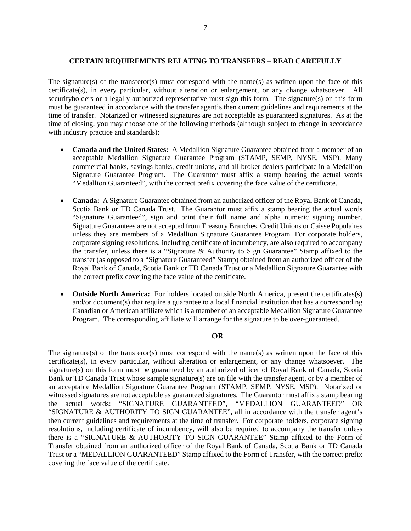### **CERTAIN REQUIREMENTS RELATING TO TRANSFERS – READ CAREFULLY**

The signature(s) of the transferor(s) must correspond with the name(s) as written upon the face of this certificate(s), in every particular, without alteration or enlargement, or any change whatsoever. All securityholders or a legally authorized representative must sign this form. The signature(s) on this form must be guaranteed in accordance with the transfer agent's then current guidelines and requirements at the time of transfer. Notarized or witnessed signatures are not acceptable as guaranteed signatures. As at the time of closing, you may choose one of the following methods (although subject to change in accordance with industry practice and standards):

- **Canada and the United States:** A Medallion Signature Guarantee obtained from a member of an acceptable Medallion Signature Guarantee Program (STAMP, SEMP, NYSE, MSP). Many commercial banks, savings banks, credit unions, and all broker dealers participate in a Medallion Signature Guarantee Program. The Guarantor must affix a stamp bearing the actual words "Medallion Guaranteed", with the correct prefix covering the face value of the certificate.
- **Canada:** A Signature Guarantee obtained from an authorized officer of the Royal Bank of Canada, Scotia Bank or TD Canada Trust. The Guarantor must affix a stamp bearing the actual words "Signature Guaranteed", sign and print their full name and alpha numeric signing number. Signature Guarantees are not accepted from Treasury Branches, Credit Unions or Caisse Populaires unless they are members of a Medallion Signature Guarantee Program. For corporate holders, corporate signing resolutions, including certificate of incumbency, are also required to accompany the transfer, unless there is a "Signature & Authority to Sign Guarantee" Stamp affixed to the transfer (as opposed to a "Signature Guaranteed" Stamp) obtained from an authorized officer of the Royal Bank of Canada, Scotia Bank or TD Canada Trust or a Medallion Signature Guarantee with the correct prefix covering the face value of the certificate.
- **Outside North America:** For holders located outside North America, present the certificates(s) and/or document(s) that require a guarantee to a local financial institution that has a corresponding Canadian or American affiliate which is a member of an acceptable Medallion Signature Guarantee Program. The corresponding affiliate will arrange for the signature to be over-guaranteed.

# **OR**

The signature(s) of the transferor(s) must correspond with the name(s) as written upon the face of this certificate(s), in every particular, without alteration or enlargement, or any change whatsoever. The signature(s) on this form must be guaranteed by an authorized officer of Royal Bank of Canada, Scotia Bank or TD Canada Trust whose sample signature(s) are on file with the transfer agent, or by a member of an acceptable Medallion Signature Guarantee Program (STAMP, SEMP, NYSE, MSP). Notarized or witnessed signatures are not acceptable as guaranteed signatures. The Guarantor must affix a stamp bearing the actual words: "SIGNATURE GUARANTEED", "MEDALLION GUARANTEED" OR "SIGNATURE & AUTHORITY TO SIGN GUARANTEE", all in accordance with the transfer agent's then current guidelines and requirements at the time of transfer. For corporate holders, corporate signing resolutions, including certificate of incumbency, will also be required to accompany the transfer unless there is a "SIGNATURE & AUTHORITY TO SIGN GUARANTEE" Stamp affixed to the Form of Transfer obtained from an authorized officer of the Royal Bank of Canada, Scotia Bank or TD Canada Trust or a "MEDALLION GUARANTEED" Stamp affixed to the Form of Transfer, with the correct prefix covering the face value of the certificate.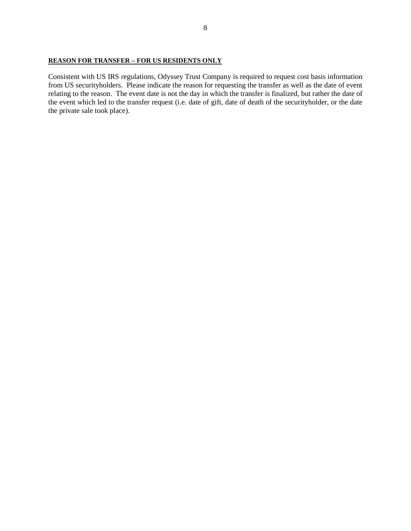## **REASON FOR TRANSFER – FOR US RESIDENTS ONLY**

Consistent with US IRS regulations, Odyssey Trust Company is required to request cost basis information from US securityholders. Please indicate the reason for requesting the transfer as well as the date of event relating to the reason. The event date is not the day in which the transfer is finalized, but rather the date of the event which led to the transfer request (i.e. date of gift, date of death of the securityholder, or the date the private sale took place).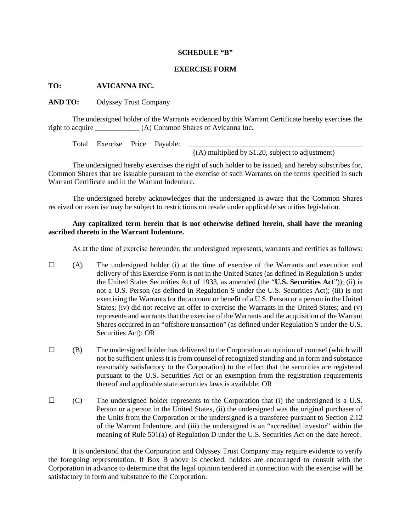#### **SCHEDULE "B"**

#### **EXERCISE FORM**

# **TO: AVICANNA INC.**

**AND TO:** Odyssey Trust Company

The undersigned holder of the Warrants evidenced by this Warrant Certificate hereby exercises the right to acquire (A) Common Shares of Avicanna Inc.

Total Exercise Price Payable:

 $($ (A) multiplied by \$1.20, subject to adjustment)

The undersigned hereby exercises the right of such holder to be issued, and hereby subscribes for, Common Shares that are issuable pursuant to the exercise of such Warrants on the terms specified in such Warrant Certificate and in the Warrant Indenture.

The undersigned hereby acknowledges that the undersigned is aware that the Common Shares received on exercise may be subject to restrictions on resale under applicable securities legislation.

## **Any capitalized term herein that is not otherwise defined herein, shall have the meaning ascribed thereto in the Warrant Indenture.**

As at the time of exercise hereunder, the undersigned represents, warrants and certifies as follows:

- $\Box$  (A) The undersigned holder (i) at the time of exercise of the Warrants and execution and delivery of this Exercise Form is not in the United States (as defined in Regulation S under the United States Securities Act of 1933, as amended (the "**U.S. Securities Act**")); (ii) is not a U.S. Person (as defined in Regulation S under the U.S. Securities Act); (iii) is not exercising the Warrants for the account or benefit of a U.S. Person or a person in the United States; (iv) did not receive an offer to exercise the Warrants in the United States; and (v) represents and warrants that the exercise of the Warrants and the acquisition of the Warrant Shares occurred in an "offshore transaction" (as defined under Regulation S under the U.S. Securities Act); OR
- $\Box$  (B) The undersigned holder has delivered to the Corporation an opinion of counsel (which will not be sufficient unless it is from counsel of recognized standing and in form and substance reasonably satisfactory to the Corporation) to the effect that the securities are registered pursuant to the U.S. Securities Act or an exemption from the registration requirements thereof and applicable state securities laws is available; OR
- $\square$  (C) The undersigned holder represents to the Corporation that (i) the undersigned is a U.S. Person or a person in the United States, (ii) the undersigned was the original purchaser of the Units from the Corporation or the undersigned is a transferee pursuant to Section 2.12 of the Warrant Indenture, and (iii) the undersigned is an "accredited investor" within the meaning of Rule 501(a) of Regulation D under the U.S. Securities Act on the date hereof.

It is understood that the Corporation and Odyssey Trust Company may require evidence to verify the foregoing representation. If Box B above is checked, holders are encouraged to consult with the Corporation in advance to determine that the legal opinion tendered in connection with the exercise will be satisfactory in form and substance to the Corporation.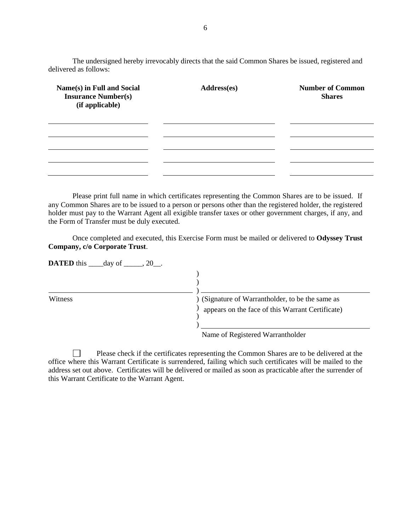The undersigned hereby irrevocably directs that the said Common Shares be issued, registered and delivered as follows:

| Name(s) in Full and Social<br><b>Insurance Number(s)</b><br>(if applicable) | Address(es) | <b>Number of Common</b><br><b>Shares</b> |
|-----------------------------------------------------------------------------|-------------|------------------------------------------|
|                                                                             |             |                                          |
|                                                                             |             |                                          |
|                                                                             |             |                                          |
|                                                                             |             |                                          |

Please print full name in which certificates representing the Common Shares are to be issued. If any Common Shares are to be issued to a person or persons other than the registered holder, the registered holder must pay to the Warrant Agent all exigible transfer taxes or other government charges, if any, and the Form of Transfer must be duly executed.

Once completed and executed, this Exercise Form must be mailed or delivered to **Odyssey Trust Company, c/o Corporate Trust**.

| <b>DATED</b> this $\_\_\_\$ day of $\_\_\_\_\$ 20 $\_\_\_\$ . |                                                                                                                                                                                                                                                                                                                                                                             |
|---------------------------------------------------------------|-----------------------------------------------------------------------------------------------------------------------------------------------------------------------------------------------------------------------------------------------------------------------------------------------------------------------------------------------------------------------------|
|                                                               |                                                                                                                                                                                                                                                                                                                                                                             |
| Witness                                                       | (Signature of Warrantholder, to be the same as<br>appears on the face of this Warrant Certificate)                                                                                                                                                                                                                                                                          |
|                                                               | $\mathcal{C}$ $\mathcal{D}$ $\mathcal{D}$ $\mathcal{D}$ $\mathcal{D}$ $\mathcal{D}$ $\mathcal{D}$ $\mathcal{D}$ $\mathcal{D}$ $\mathcal{D}$ $\mathcal{D}$ $\mathcal{D}$ $\mathcal{D}$ $\mathcal{D}$ $\mathcal{D}$ $\mathcal{D}$ $\mathcal{D}$ $\mathcal{D}$ $\mathcal{D}$ $\mathcal{D}$ $\mathcal{D}$ $\mathcal{D}$ $\mathcal{D}$ $\mathcal{D}$ $\mathcal{$<br>$\mathbf{v}$ |

Name of Registered Warrantholder

 $\Box$ Please check if the certificates representing the Common Shares are to be delivered at the office where this Warrant Certificate is surrendered, failing which such certificates will be mailed to the address set out above. Certificates will be delivered or mailed as soon as practicable after the surrender of this Warrant Certificate to the Warrant Agent.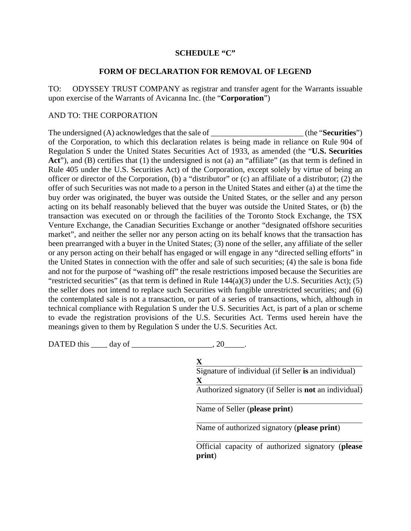# **SCHEDULE "C"**

# **FORM OF DECLARATION FOR REMOVAL OF LEGEND**

TO: ODYSSEY TRUST COMPANY as registrar and transfer agent for the Warrants issuable upon exercise of the Warrants of Avicanna Inc. (the "**Corporation**")

# AND TO: THE CORPORATION

The undersigned (A) acknowledges that the sale of \_\_\_\_\_\_\_\_\_\_\_\_\_\_\_\_\_\_\_\_\_\_\_\_\_ (the "**Securities**") of the Corporation, to which this declaration relates is being made in reliance on Rule 904 of Regulation S under the United States Securities Act of 1933, as amended (the "**U.S. Securities**  Act<sup>\*</sup>), and (B) certifies that (1) the undersigned is not (a) an "affiliate" (as that term is defined in Rule 405 under the U.S. Securities Act) of the Corporation, except solely by virtue of being an officer or director of the Corporation, (b) a "distributor" or (c) an affiliate of a distributor; (2) the offer of such Securities was not made to a person in the United States and either (a) at the time the buy order was originated, the buyer was outside the United States, or the seller and any person acting on its behalf reasonably believed that the buyer was outside the United States, or (b) the transaction was executed on or through the facilities of the Toronto Stock Exchange, the TSX Venture Exchange, the Canadian Securities Exchange or another "designated offshore securities market", and neither the seller nor any person acting on its behalf knows that the transaction has been prearranged with a buyer in the United States; (3) none of the seller, any affiliate of the seller or any person acting on their behalf has engaged or will engage in any "directed selling efforts" in the United States in connection with the offer and sale of such securities; (4) the sale is bona fide and not for the purpose of "washing off" the resale restrictions imposed because the Securities are "restricted securities" (as that term is defined in Rule  $144(a)(3)$  under the U.S. Securities Act); (5) the seller does not intend to replace such Securities with fungible unrestricted securities; and (6) the contemplated sale is not a transaction, or part of a series of transactions, which, although in technical compliance with Regulation S under the U.S. Securities Act, is part of a plan or scheme to evade the registration provisions of the U.S. Securities Act. Terms used herein have the meanings given to them by Regulation S under the U.S. Securities Act.

DATED this  $\_\_\_\_\$  day of  $\_\_\_\_\_\_\_\_$ , 20 $\_\_\_\_\_\$ .

| $\mathbf X$                                                  |
|--------------------------------------------------------------|
| Signature of individual (if Seller is an individual)         |
| $\mathbf x$                                                  |
| Authorized signatory (if Seller is <b>not</b> an individual) |
|                                                              |
| Name of Seller (please print)                                |
|                                                              |
| Name of authorized signatory (please print)                  |
|                                                              |
| Official capacity of authorized signatory (please            |
| print)                                                       |